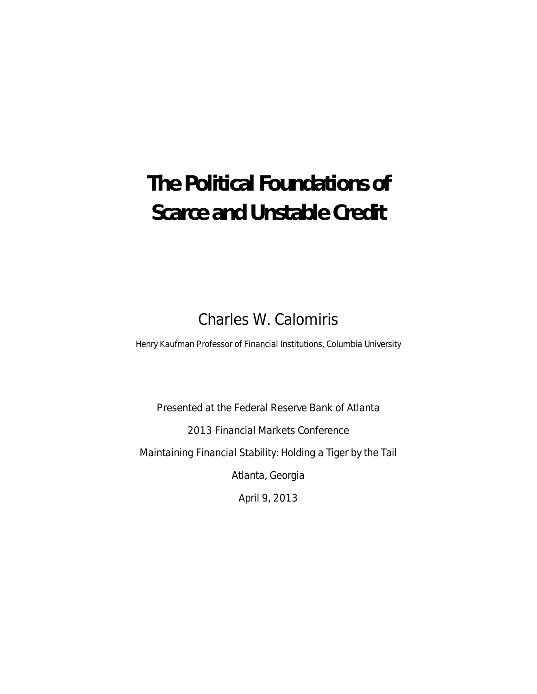# **The Political Foundations of Scarce and Unstable Credit**

Charles W. Calomiris

Henry Kaufman Professor of Financial Institutions, Columbia University

Presented at the Federal Reserve Bank of Atlanta 2013 Financial Markets Conference Maintaining Financial Stability: Holding a Tiger by the Tail Atlanta, Georgia

April 9, 2013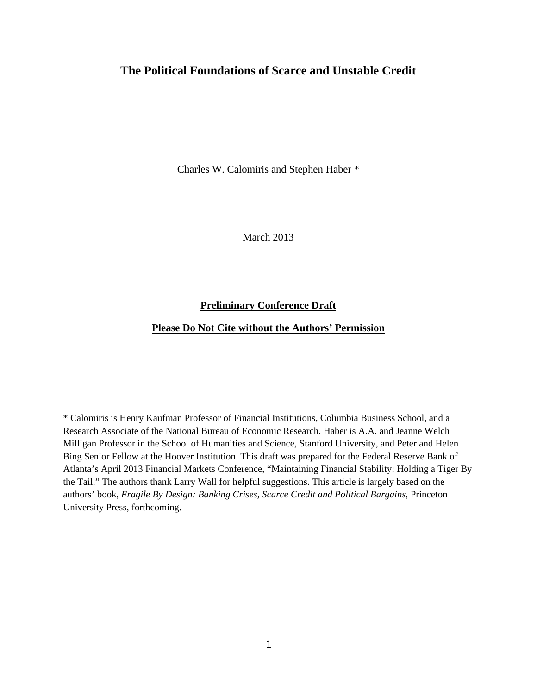# **The Political Foundations of Scarce and Unstable Credit**

Charles W. Calomiris and Stephen Haber \*

March 2013

# **Preliminary Conference Draft**

# **Please Do Not Cite without the Authors' Permission**

\* Calomiris is Henry Kaufman Professor of Financial Institutions, Columbia Business School, and a Research Associate of the National Bureau of Economic Research. Haber is A.A. and Jeanne Welch Milligan Professor in the School of Humanities and Science, Stanford University, and Peter and Helen Bing Senior Fellow at the Hoover Institution. This draft was prepared for the Federal Reserve Bank of Atlanta's April 2013 Financial Markets Conference, "Maintaining Financial Stability: Holding a Tiger By the Tail." The authors thank Larry Wall for helpful suggestions. This article is largely based on the authors' book, *Fragile By Design: Banking Crises, Scarce Credit and Political Bargains*, Princeton University Press, forthcoming.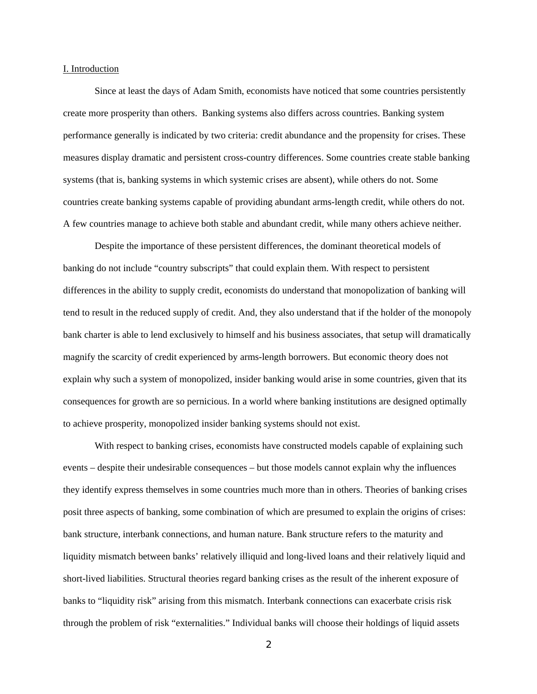#### I. Introduction

Since at least the days of Adam Smith, economists have noticed that some countries persistently create more prosperity than others. Banking systems also differs across countries. Banking system performance generally is indicated by two criteria: credit abundance and the propensity for crises. These measures display dramatic and persistent cross-country differences. Some countries create stable banking systems (that is, banking systems in which systemic crises are absent), while others do not. Some countries create banking systems capable of providing abundant arms-length credit, while others do not. A few countries manage to achieve both stable and abundant credit, while many others achieve neither.

Despite the importance of these persistent differences, the dominant theoretical models of banking do not include "country subscripts" that could explain them. With respect to persistent differences in the ability to supply credit, economists do understand that monopolization of banking will tend to result in the reduced supply of credit. And, they also understand that if the holder of the monopoly bank charter is able to lend exclusively to himself and his business associates, that setup will dramatically magnify the scarcity of credit experienced by arms-length borrowers. But economic theory does not explain why such a system of monopolized, insider banking would arise in some countries, given that its consequences for growth are so pernicious. In a world where banking institutions are designed optimally to achieve prosperity, monopolized insider banking systems should not exist.

With respect to banking crises, economists have constructed models capable of explaining such events – despite their undesirable consequences – but those models cannot explain why the influences they identify express themselves in some countries much more than in others. Theories of banking crises posit three aspects of banking, some combination of which are presumed to explain the origins of crises: bank structure, interbank connections, and human nature. Bank structure refers to the maturity and liquidity mismatch between banks' relatively illiquid and long-lived loans and their relatively liquid and short-lived liabilities. Structural theories regard banking crises as the result of the inherent exposure of banks to "liquidity risk" arising from this mismatch. Interbank connections can exacerbate crisis risk through the problem of risk "externalities." Individual banks will choose their holdings of liquid assets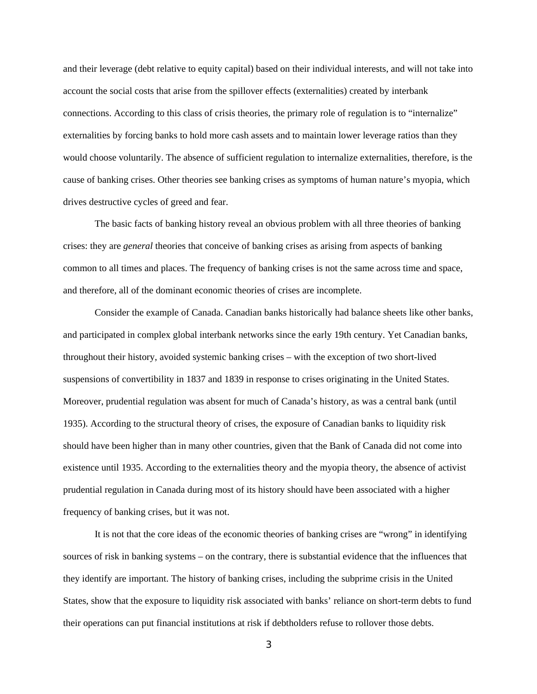and their leverage (debt relative to equity capital) based on their individual interests, and will not take into account the social costs that arise from the spillover effects (externalities) created by interbank connections. According to this class of crisis theories, the primary role of regulation is to "internalize" externalities by forcing banks to hold more cash assets and to maintain lower leverage ratios than they would choose voluntarily. The absence of sufficient regulation to internalize externalities, therefore, is the cause of banking crises. Other theories see banking crises as symptoms of human nature's myopia, which drives destructive cycles of greed and fear.

The basic facts of banking history reveal an obvious problem with all three theories of banking crises: they are *general* theories that conceive of banking crises as arising from aspects of banking common to all times and places. The frequency of banking crises is not the same across time and space, and therefore, all of the dominant economic theories of crises are incomplete.

Consider the example of Canada. Canadian banks historically had balance sheets like other banks, and participated in complex global interbank networks since the early 19th century. Yet Canadian banks, throughout their history, avoided systemic banking crises – with the exception of two short-lived suspensions of convertibility in 1837 and 1839 in response to crises originating in the United States. Moreover, prudential regulation was absent for much of Canada's history, as was a central bank (until 1935). According to the structural theory of crises, the exposure of Canadian banks to liquidity risk should have been higher than in many other countries, given that the Bank of Canada did not come into existence until 1935. According to the externalities theory and the myopia theory, the absence of activist prudential regulation in Canada during most of its history should have been associated with a higher frequency of banking crises, but it was not.

It is not that the core ideas of the economic theories of banking crises are "wrong" in identifying sources of risk in banking systems – on the contrary, there is substantial evidence that the influences that they identify are important. The history of banking crises, including the subprime crisis in the United States, show that the exposure to liquidity risk associated with banks' reliance on short-term debts to fund their operations can put financial institutions at risk if debtholders refuse to rollover those debts.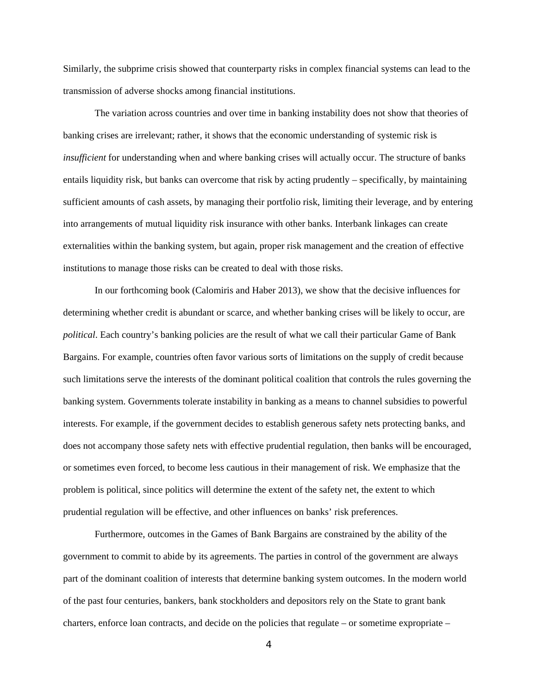Similarly, the subprime crisis showed that counterparty risks in complex financial systems can lead to the transmission of adverse shocks among financial institutions.

The variation across countries and over time in banking instability does not show that theories of banking crises are irrelevant; rather, it shows that the economic understanding of systemic risk is *insufficient* for understanding when and where banking crises will actually occur. The structure of banks entails liquidity risk, but banks can overcome that risk by acting prudently – specifically, by maintaining sufficient amounts of cash assets, by managing their portfolio risk, limiting their leverage, and by entering into arrangements of mutual liquidity risk insurance with other banks. Interbank linkages can create externalities within the banking system, but again, proper risk management and the creation of effective institutions to manage those risks can be created to deal with those risks.

In our forthcoming book (Calomiris and Haber 2013), we show that the decisive influences for determining whether credit is abundant or scarce, and whether banking crises will be likely to occur, are *political*. Each country's banking policies are the result of what we call their particular Game of Bank Bargains. For example, countries often favor various sorts of limitations on the supply of credit because such limitations serve the interests of the dominant political coalition that controls the rules governing the banking system. Governments tolerate instability in banking as a means to channel subsidies to powerful interests. For example, if the government decides to establish generous safety nets protecting banks, and does not accompany those safety nets with effective prudential regulation, then banks will be encouraged, or sometimes even forced, to become less cautious in their management of risk. We emphasize that the problem is political, since politics will determine the extent of the safety net, the extent to which prudential regulation will be effective, and other influences on banks' risk preferences.

Furthermore, outcomes in the Games of Bank Bargains are constrained by the ability of the government to commit to abide by its agreements. The parties in control of the government are always part of the dominant coalition of interests that determine banking system outcomes. In the modern world of the past four centuries, bankers, bank stockholders and depositors rely on the State to grant bank charters, enforce loan contracts, and decide on the policies that regulate – or sometime expropriate –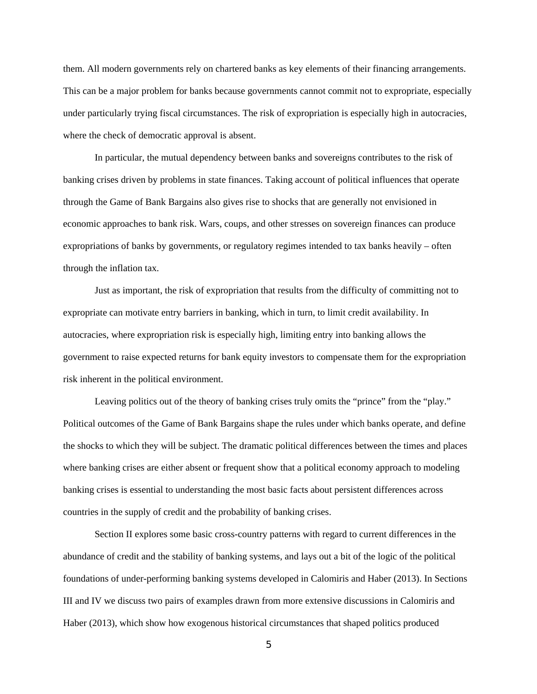them. All modern governments rely on chartered banks as key elements of their financing arrangements. This can be a major problem for banks because governments cannot commit not to expropriate, especially under particularly trying fiscal circumstances. The risk of expropriation is especially high in autocracies, where the check of democratic approval is absent.

In particular, the mutual dependency between banks and sovereigns contributes to the risk of banking crises driven by problems in state finances. Taking account of political influences that operate through the Game of Bank Bargains also gives rise to shocks that are generally not envisioned in economic approaches to bank risk. Wars, coups, and other stresses on sovereign finances can produce expropriations of banks by governments, or regulatory regimes intended to tax banks heavily – often through the inflation tax.

Just as important, the risk of expropriation that results from the difficulty of committing not to expropriate can motivate entry barriers in banking, which in turn, to limit credit availability. In autocracies, where expropriation risk is especially high, limiting entry into banking allows the government to raise expected returns for bank equity investors to compensate them for the expropriation risk inherent in the political environment.

Leaving politics out of the theory of banking crises truly omits the "prince" from the "play." Political outcomes of the Game of Bank Bargains shape the rules under which banks operate, and define the shocks to which they will be subject. The dramatic political differences between the times and places where banking crises are either absent or frequent show that a political economy approach to modeling banking crises is essential to understanding the most basic facts about persistent differences across countries in the supply of credit and the probability of banking crises.

Section II explores some basic cross-country patterns with regard to current differences in the abundance of credit and the stability of banking systems, and lays out a bit of the logic of the political foundations of under-performing banking systems developed in Calomiris and Haber (2013). In Sections III and IV we discuss two pairs of examples drawn from more extensive discussions in Calomiris and Haber (2013), which show how exogenous historical circumstances that shaped politics produced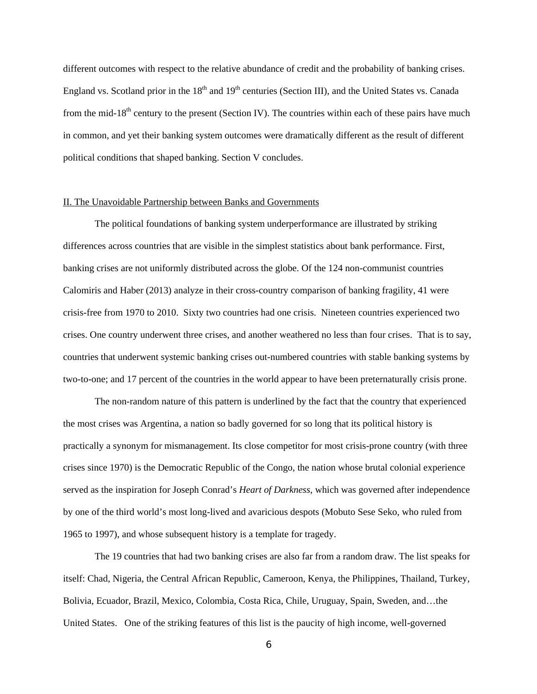different outcomes with respect to the relative abundance of credit and the probability of banking crises. England vs. Scotland prior in the  $18<sup>th</sup>$  and  $19<sup>th</sup>$  centuries (Section III), and the United States vs. Canada from the mid-18<sup>th</sup> century to the present (Section IV). The countries within each of these pairs have much in common, and yet their banking system outcomes were dramatically different as the result of different political conditions that shaped banking. Section V concludes.

## II. The Unavoidable Partnership between Banks and Governments

The political foundations of banking system underperformance are illustrated by striking differences across countries that are visible in the simplest statistics about bank performance. First, banking crises are not uniformly distributed across the globe. Of the 124 non-communist countries Calomiris and Haber (2013) analyze in their cross-country comparison of banking fragility, 41 were crisis-free from 1970 to 2010. Sixty two countries had one crisis. Nineteen countries experienced two crises. One country underwent three crises, and another weathered no less than four crises. That is to say, countries that underwent systemic banking crises out-numbered countries with stable banking systems by two-to-one; and 17 percent of the countries in the world appear to have been preternaturally crisis prone.

The non-random nature of this pattern is underlined by the fact that the country that experienced the most crises was Argentina, a nation so badly governed for so long that its political history is practically a synonym for mismanagement. Its close competitor for most crisis-prone country (with three crises since 1970) is the Democratic Republic of the Congo, the nation whose brutal colonial experience served as the inspiration for Joseph Conrad's *Heart of Darkness*, which was governed after independence by one of the third world's most long-lived and avaricious despots (Mobuto Sese Seko, who ruled from 1965 to 1997), and whose subsequent history is a template for tragedy.

The 19 countries that had two banking crises are also far from a random draw. The list speaks for itself: Chad, Nigeria, the Central African Republic, Cameroon, Kenya, the Philippines, Thailand, Turkey, Bolivia, Ecuador, Brazil, Mexico, Colombia, Costa Rica, Chile, Uruguay, Spain, Sweden, and…the United States. One of the striking features of this list is the paucity of high income, well-governed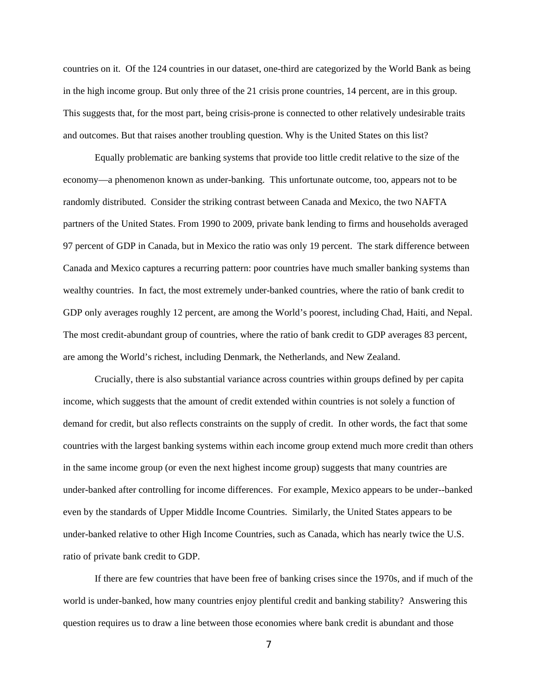countries on it. Of the 124 countries in our dataset, one-third are categorized by the World Bank as being in the high income group. But only three of the 21 crisis prone countries, 14 percent, are in this group. This suggests that, for the most part, being crisis-prone is connected to other relatively undesirable traits and outcomes. But that raises another troubling question. Why is the United States on this list?

Equally problematic are banking systems that provide too little credit relative to the size of the economy—a phenomenon known as under-banking. This unfortunate outcome, too, appears not to be randomly distributed. Consider the striking contrast between Canada and Mexico, the two NAFTA partners of the United States. From 1990 to 2009, private bank lending to firms and households averaged 97 percent of GDP in Canada, but in Mexico the ratio was only 19 percent. The stark difference between Canada and Mexico captures a recurring pattern: poor countries have much smaller banking systems than wealthy countries. In fact, the most extremely under-banked countries, where the ratio of bank credit to GDP only averages roughly 12 percent, are among the World's poorest, including Chad, Haiti, and Nepal. The most credit-abundant group of countries, where the ratio of bank credit to GDP averages 83 percent, are among the World's richest, including Denmark, the Netherlands, and New Zealand.

Crucially, there is also substantial variance across countries within groups defined by per capita income, which suggests that the amount of credit extended within countries is not solely a function of demand for credit, but also reflects constraints on the supply of credit. In other words, the fact that some countries with the largest banking systems within each income group extend much more credit than others in the same income group (or even the next highest income group) suggests that many countries are under-banked after controlling for income differences. For example, Mexico appears to be under--banked even by the standards of Upper Middle Income Countries. Similarly, the United States appears to be under-banked relative to other High Income Countries, such as Canada, which has nearly twice the U.S. ratio of private bank credit to GDP.

If there are few countries that have been free of banking crises since the 1970s, and if much of the world is under-banked, how many countries enjoy plentiful credit and banking stability? Answering this question requires us to draw a line between those economies where bank credit is abundant and those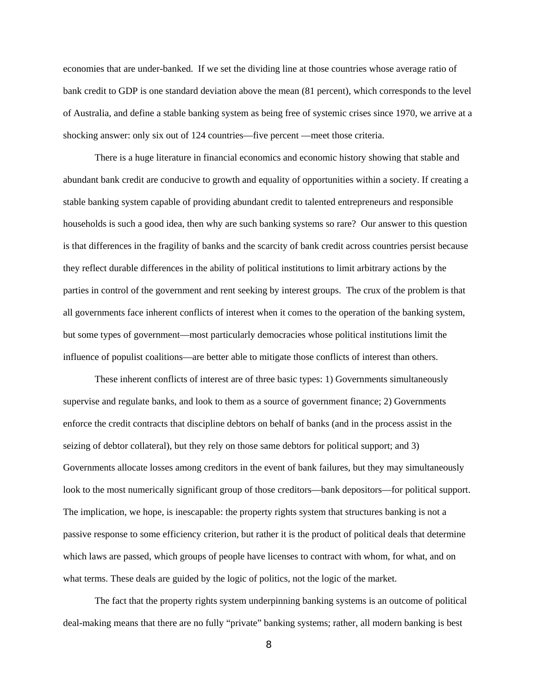economies that are under-banked. If we set the dividing line at those countries whose average ratio of bank credit to GDP is one standard deviation above the mean (81 percent), which corresponds to the level of Australia, and define a stable banking system as being free of systemic crises since 1970, we arrive at a shocking answer: only six out of 124 countries—five percent —meet those criteria.

There is a huge literature in financial economics and economic history showing that stable and abundant bank credit are conducive to growth and equality of opportunities within a society. If creating a stable banking system capable of providing abundant credit to talented entrepreneurs and responsible households is such a good idea, then why are such banking systems so rare? Our answer to this question is that differences in the fragility of banks and the scarcity of bank credit across countries persist because they reflect durable differences in the ability of political institutions to limit arbitrary actions by the parties in control of the government and rent seeking by interest groups. The crux of the problem is that all governments face inherent conflicts of interest when it comes to the operation of the banking system, but some types of government—most particularly democracies whose political institutions limit the influence of populist coalitions—are better able to mitigate those conflicts of interest than others.

These inherent conflicts of interest are of three basic types: 1) Governments simultaneously supervise and regulate banks, and look to them as a source of government finance; 2) Governments enforce the credit contracts that discipline debtors on behalf of banks (and in the process assist in the seizing of debtor collateral), but they rely on those same debtors for political support; and 3) Governments allocate losses among creditors in the event of bank failures, but they may simultaneously look to the most numerically significant group of those creditors—bank depositors—for political support. The implication, we hope, is inescapable: the property rights system that structures banking is not a passive response to some efficiency criterion, but rather it is the product of political deals that determine which laws are passed, which groups of people have licenses to contract with whom, for what, and on what terms. These deals are guided by the logic of politics, not the logic of the market.

The fact that the property rights system underpinning banking systems is an outcome of political deal-making means that there are no fully "private" banking systems; rather, all modern banking is best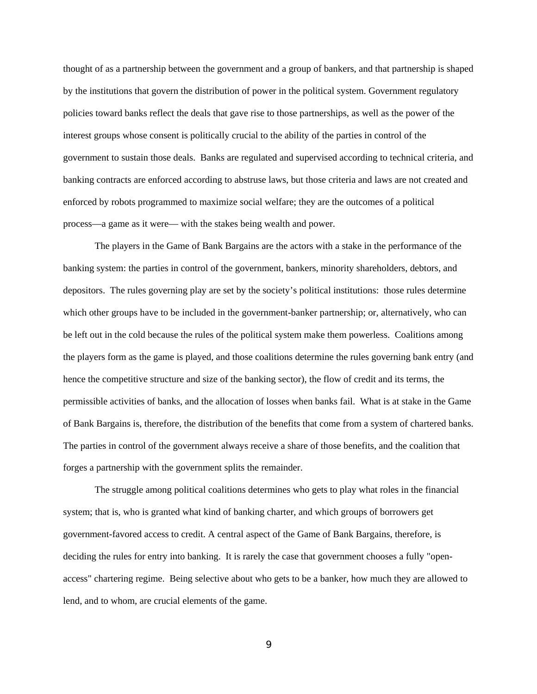thought of as a partnership between the government and a group of bankers, and that partnership is shaped by the institutions that govern the distribution of power in the political system. Government regulatory policies toward banks reflect the deals that gave rise to those partnerships, as well as the power of the interest groups whose consent is politically crucial to the ability of the parties in control of the government to sustain those deals. Banks are regulated and supervised according to technical criteria, and banking contracts are enforced according to abstruse laws, but those criteria and laws are not created and enforced by robots programmed to maximize social welfare; they are the outcomes of a political process—a game as it were— with the stakes being wealth and power.

The players in the Game of Bank Bargains are the actors with a stake in the performance of the banking system: the parties in control of the government, bankers, minority shareholders, debtors, and depositors. The rules governing play are set by the society's political institutions: those rules determine which other groups have to be included in the government-banker partnership; or, alternatively, who can be left out in the cold because the rules of the political system make them powerless. Coalitions among the players form as the game is played, and those coalitions determine the rules governing bank entry (and hence the competitive structure and size of the banking sector), the flow of credit and its terms, the permissible activities of banks, and the allocation of losses when banks fail. What is at stake in the Game of Bank Bargains is, therefore, the distribution of the benefits that come from a system of chartered banks. The parties in control of the government always receive a share of those benefits, and the coalition that forges a partnership with the government splits the remainder.

The struggle among political coalitions determines who gets to play what roles in the financial system; that is, who is granted what kind of banking charter, and which groups of borrowers get government-favored access to credit. A central aspect of the Game of Bank Bargains, therefore, is deciding the rules for entry into banking. It is rarely the case that government chooses a fully "openaccess" chartering regime. Being selective about who gets to be a banker, how much they are allowed to lend, and to whom, are crucial elements of the game.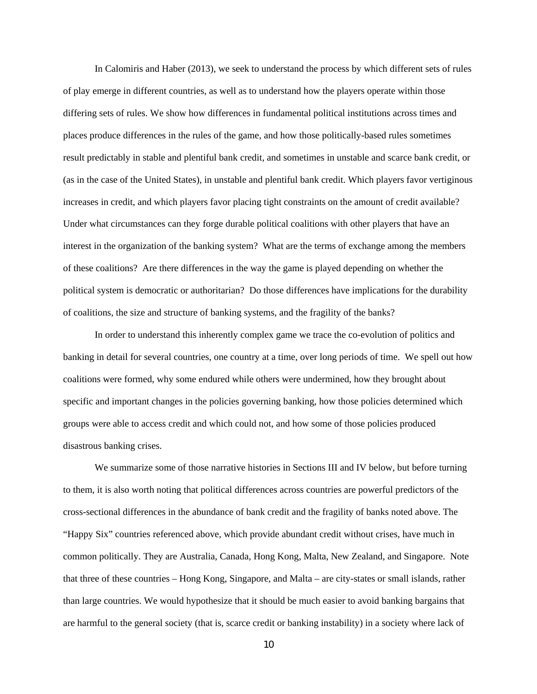In Calomiris and Haber (2013), we seek to understand the process by which different sets of rules of play emerge in different countries, as well as to understand how the players operate within those differing sets of rules. We show how differences in fundamental political institutions across times and places produce differences in the rules of the game, and how those politically-based rules sometimes result predictably in stable and plentiful bank credit, and sometimes in unstable and scarce bank credit, or (as in the case of the United States), in unstable and plentiful bank credit. Which players favor vertiginous increases in credit, and which players favor placing tight constraints on the amount of credit available? Under what circumstances can they forge durable political coalitions with other players that have an interest in the organization of the banking system? What are the terms of exchange among the members of these coalitions? Are there differences in the way the game is played depending on whether the political system is democratic or authoritarian? Do those differences have implications for the durability of coalitions, the size and structure of banking systems, and the fragility of the banks?

In order to understand this inherently complex game we trace the co-evolution of politics and banking in detail for several countries, one country at a time, over long periods of time. We spell out how coalitions were formed, why some endured while others were undermined, how they brought about specific and important changes in the policies governing banking, how those policies determined which groups were able to access credit and which could not, and how some of those policies produced disastrous banking crises.

We summarize some of those narrative histories in Sections III and IV below, but before turning to them, it is also worth noting that political differences across countries are powerful predictors of the cross-sectional differences in the abundance of bank credit and the fragility of banks noted above. The "Happy Six" countries referenced above, which provide abundant credit without crises, have much in common politically. They are Australia, Canada, Hong Kong, Malta, New Zealand, and Singapore. Note that three of these countries – Hong Kong, Singapore, and Malta – are city-states or small islands, rather than large countries. We would hypothesize that it should be much easier to avoid banking bargains that are harmful to the general society (that is, scarce credit or banking instability) in a society where lack of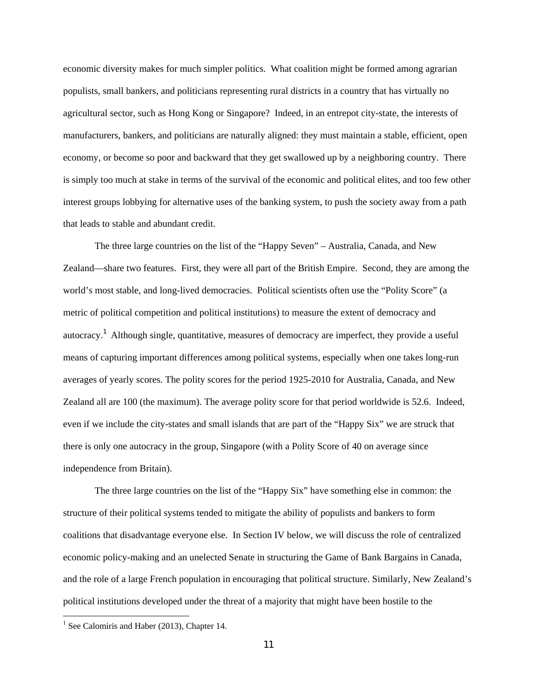economic diversity makes for much simpler politics. What coalition might be formed among agrarian populists, small bankers, and politicians representing rural districts in a country that has virtually no agricultural sector, such as Hong Kong or Singapore? Indeed, in an entrepot city-state, the interests of manufacturers, bankers, and politicians are naturally aligned: they must maintain a stable, efficient, open economy, or become so poor and backward that they get swallowed up by a neighboring country. There is simply too much at stake in terms of the survival of the economic and political elites, and too few other interest groups lobbying for alternative uses of the banking system, to push the society away from a path that leads to stable and abundant credit.

The three large countries on the list of the "Happy Seven" – Australia, Canada, and New Zealand—share two features. First, they were all part of the British Empire. Second, they are among the world's most stable, and long-lived democracies. Political scientists often use the "Polity Score" (a metric of political competition and political institutions) to measure the extent of democracy and autocracy.<sup>1</sup> Although single, quantitative, measures of democracy are imperfect, they provide a useful means of capturing important differences among political systems, especially when one takes long-run averages of yearly scores. The polity scores for the period 1925-2010 for Australia, Canada, and New Zealand all are 100 (the maximum). The average polity score for that period worldwide is 52.6. Indeed, even if we include the city-states and small islands that are part of the "Happy Six" we are struck that there is only one autocracy in the group, Singapore (with a Polity Score of 40 on average since independence from Britain).

The three large countries on the list of the "Happy Six" have something else in common: the structure of their political systems tended to mitigate the ability of populists and bankers to form coalitions that disadvantage everyone else. In Section IV below, we will discuss the role of centralized economic policy-making and an unelected Senate in structuring the Game of Bank Bargains in Canada, and the role of a large French population in encouraging that political structure. Similarly, New Zealand's political institutions developed under the threat of a majority that might have been hostile to the

**.** 

<sup>&</sup>lt;sup>1</sup> See Calomiris and Haber (2013), Chapter 14.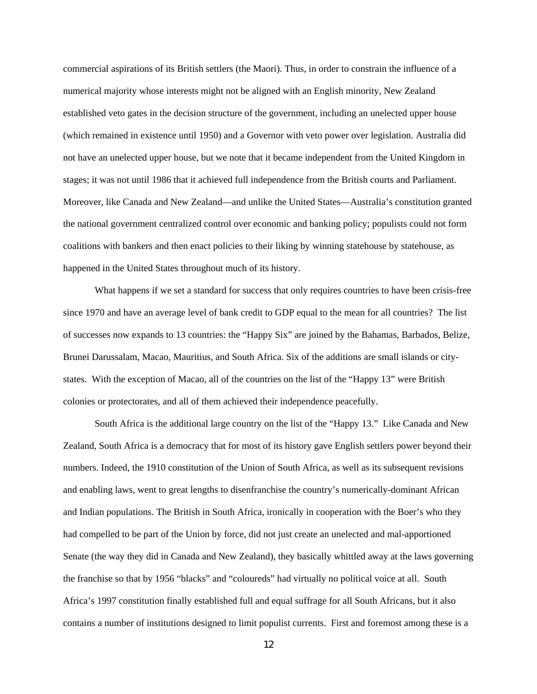commercial aspirations of its British settlers (the Maori). Thus, in order to constrain the influence of a numerical majority whose interests might not be aligned with an English minority, New Zealand established veto gates in the decision structure of the government, including an unelected upper house (which remained in existence until 1950) and a Governor with veto power over legislation. Australia did not have an unelected upper house, but we note that it became independent from the United Kingdom in stages; it was not until 1986 that it achieved full independence from the British courts and Parliament. Moreover, like Canada and New Zealand—and unlike the United States—Australia's constitution granted the national government centralized control over economic and banking policy; populists could not form coalitions with bankers and then enact policies to their liking by winning statehouse by statehouse, as happened in the United States throughout much of its history.

What happens if we set a standard for success that only requires countries to have been crisis-free since 1970 and have an average level of bank credit to GDP equal to the mean for all countries? The list of successes now expands to 13 countries: the "Happy Six" are joined by the Bahamas, Barbados, Belize, Brunei Darussalam, Macao, Mauritius, and South Africa. Six of the additions are small islands or citystates. With the exception of Macao, all of the countries on the list of the "Happy 13" were British colonies or protectorates, and all of them achieved their independence peacefully.

South Africa is the additional large country on the list of the "Happy 13." Like Canada and New Zealand, South Africa is a democracy that for most of its history gave English settlers power beyond their numbers. Indeed, the 1910 constitution of the Union of South Africa, as well as its subsequent revisions and enabling laws, went to great lengths to disenfranchise the country's numerically-dominant African and Indian populations. The British in South Africa, ironically in cooperation with the Boer's who they had compelled to be part of the Union by force, did not just create an unelected and mal-apportioned Senate (the way they did in Canada and New Zealand), they basically whittled away at the laws governing the franchise so that by 1956 "blacks" and "coloureds" had virtually no political voice at all. South Africa's 1997 constitution finally established full and equal suffrage for all South Africans, but it also contains a number of institutions designed to limit populist currents. First and foremost among these is a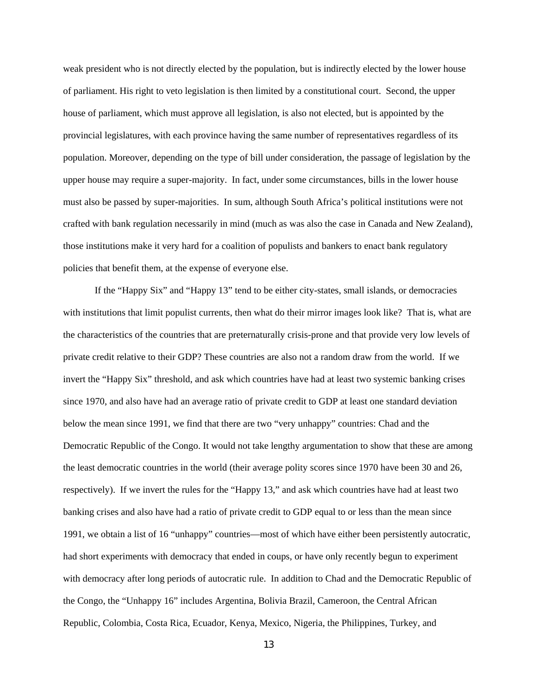weak president who is not directly elected by the population, but is indirectly elected by the lower house of parliament. His right to veto legislation is then limited by a constitutional court. Second, the upper house of parliament, which must approve all legislation, is also not elected, but is appointed by the provincial legislatures, with each province having the same number of representatives regardless of its population. Moreover, depending on the type of bill under consideration, the passage of legislation by the upper house may require a super-majority. In fact, under some circumstances, bills in the lower house must also be passed by super-majorities. In sum, although South Africa's political institutions were not crafted with bank regulation necessarily in mind (much as was also the case in Canada and New Zealand), those institutions make it very hard for a coalition of populists and bankers to enact bank regulatory policies that benefit them, at the expense of everyone else.

If the "Happy Six" and "Happy 13" tend to be either city-states, small islands, or democracies with institutions that limit populist currents, then what do their mirror images look like? That is, what are the characteristics of the countries that are preternaturally crisis-prone and that provide very low levels of private credit relative to their GDP? These countries are also not a random draw from the world. If we invert the "Happy Six" threshold, and ask which countries have had at least two systemic banking crises since 1970, and also have had an average ratio of private credit to GDP at least one standard deviation below the mean since 1991, we find that there are two "very unhappy" countries: Chad and the Democratic Republic of the Congo. It would not take lengthy argumentation to show that these are among the least democratic countries in the world (their average polity scores since 1970 have been 30 and 26, respectively). If we invert the rules for the "Happy 13," and ask which countries have had at least two banking crises and also have had a ratio of private credit to GDP equal to or less than the mean since 1991, we obtain a list of 16 "unhappy" countries—most of which have either been persistently autocratic, had short experiments with democracy that ended in coups, or have only recently begun to experiment with democracy after long periods of autocratic rule. In addition to Chad and the Democratic Republic of the Congo, the "Unhappy 16" includes Argentina, Bolivia Brazil, Cameroon, the Central African Republic, Colombia, Costa Rica, Ecuador, Kenya, Mexico, Nigeria, the Philippines, Turkey, and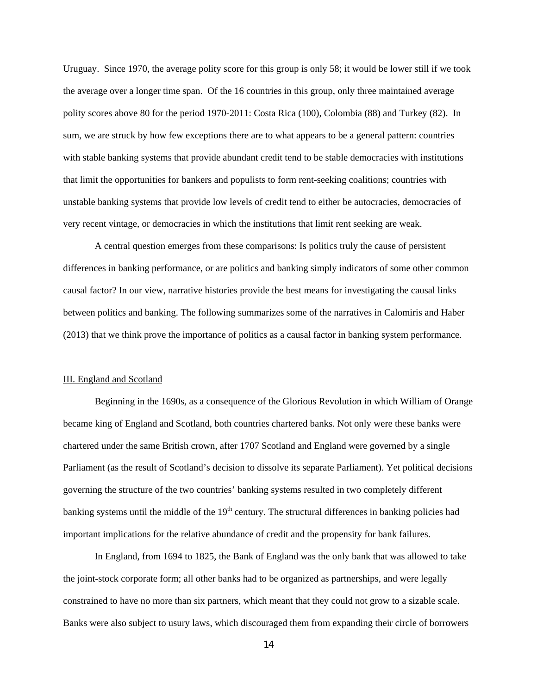Uruguay. Since 1970, the average polity score for this group is only 58; it would be lower still if we took the average over a longer time span. Of the 16 countries in this group, only three maintained average polity scores above 80 for the period 1970-2011: Costa Rica (100), Colombia (88) and Turkey (82). In sum, we are struck by how few exceptions there are to what appears to be a general pattern: countries with stable banking systems that provide abundant credit tend to be stable democracies with institutions that limit the opportunities for bankers and populists to form rent-seeking coalitions; countries with unstable banking systems that provide low levels of credit tend to either be autocracies, democracies of very recent vintage, or democracies in which the institutions that limit rent seeking are weak.

A central question emerges from these comparisons: Is politics truly the cause of persistent differences in banking performance, or are politics and banking simply indicators of some other common causal factor? In our view, narrative histories provide the best means for investigating the causal links between politics and banking. The following summarizes some of the narratives in Calomiris and Haber (2013) that we think prove the importance of politics as a causal factor in banking system performance.

#### III. England and Scotland

Beginning in the 1690s, as a consequence of the Glorious Revolution in which William of Orange became king of England and Scotland, both countries chartered banks. Not only were these banks were chartered under the same British crown, after 1707 Scotland and England were governed by a single Parliament (as the result of Scotland's decision to dissolve its separate Parliament). Yet political decisions governing the structure of the two countries' banking systems resulted in two completely different banking systems until the middle of the  $19<sup>th</sup>$  century. The structural differences in banking policies had important implications for the relative abundance of credit and the propensity for bank failures.

In England, from 1694 to 1825, the Bank of England was the only bank that was allowed to take the joint-stock corporate form; all other banks had to be organized as partnerships, and were legally constrained to have no more than six partners, which meant that they could not grow to a sizable scale. Banks were also subject to usury laws, which discouraged them from expanding their circle of borrowers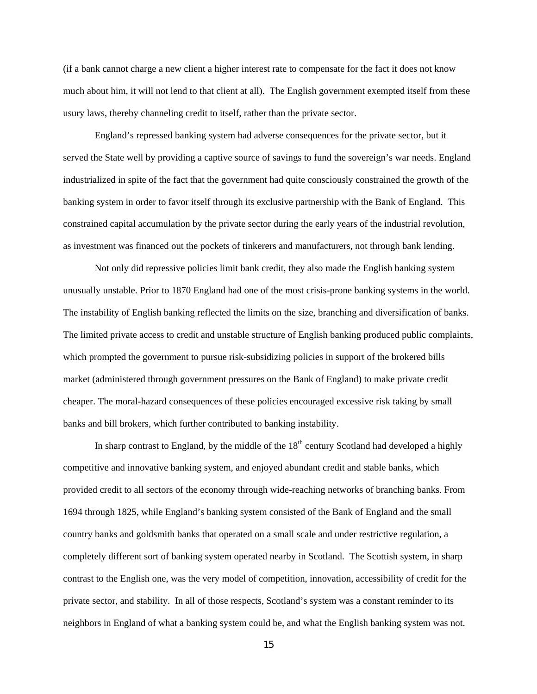(if a bank cannot charge a new client a higher interest rate to compensate for the fact it does not know much about him, it will not lend to that client at all). The English government exempted itself from these usury laws, thereby channeling credit to itself, rather than the private sector.

England's repressed banking system had adverse consequences for the private sector, but it served the State well by providing a captive source of savings to fund the sovereign's war needs. England industrialized in spite of the fact that the government had quite consciously constrained the growth of the banking system in order to favor itself through its exclusive partnership with the Bank of England. This constrained capital accumulation by the private sector during the early years of the industrial revolution, as investment was financed out the pockets of tinkerers and manufacturers, not through bank lending.

Not only did repressive policies limit bank credit, they also made the English banking system unusually unstable. Prior to 1870 England had one of the most crisis-prone banking systems in the world. The instability of English banking reflected the limits on the size, branching and diversification of banks. The limited private access to credit and unstable structure of English banking produced public complaints, which prompted the government to pursue risk-subsidizing policies in support of the brokered bills market (administered through government pressures on the Bank of England) to make private credit cheaper. The moral-hazard consequences of these policies encouraged excessive risk taking by small banks and bill brokers, which further contributed to banking instability.

In sharp contrast to England, by the middle of the  $18<sup>th</sup>$  century Scotland had developed a highly competitive and innovative banking system, and enjoyed abundant credit and stable banks, which provided credit to all sectors of the economy through wide-reaching networks of branching banks. From 1694 through 1825, while England's banking system consisted of the Bank of England and the small country banks and goldsmith banks that operated on a small scale and under restrictive regulation, a completely different sort of banking system operated nearby in Scotland. The Scottish system, in sharp contrast to the English one, was the very model of competition, innovation, accessibility of credit for the private sector, and stability. In all of those respects, Scotland's system was a constant reminder to its neighbors in England of what a banking system could be, and what the English banking system was not.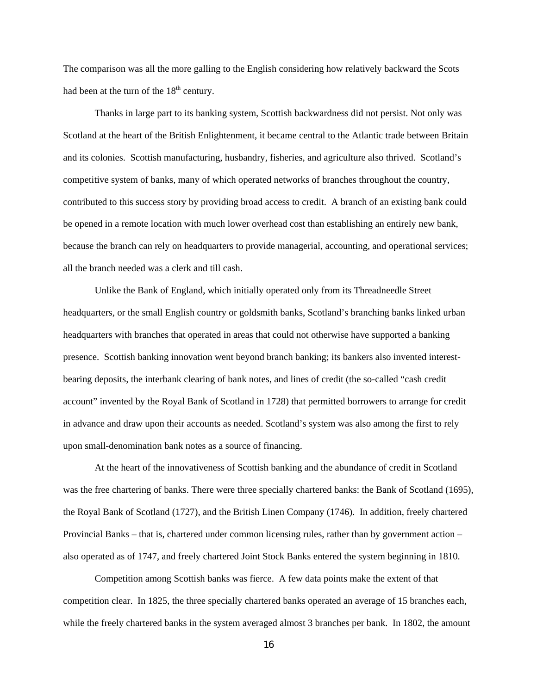The comparison was all the more galling to the English considering how relatively backward the Scots had been at the turn of the  $18<sup>th</sup>$  century.

Thanks in large part to its banking system, Scottish backwardness did not persist. Not only was Scotland at the heart of the British Enlightenment, it became central to the Atlantic trade between Britain and its colonies. Scottish manufacturing, husbandry, fisheries, and agriculture also thrived. Scotland's competitive system of banks, many of which operated networks of branches throughout the country, contributed to this success story by providing broad access to credit. A branch of an existing bank could be opened in a remote location with much lower overhead cost than establishing an entirely new bank, because the branch can rely on headquarters to provide managerial, accounting, and operational services; all the branch needed was a clerk and till cash.

Unlike the Bank of England, which initially operated only from its Threadneedle Street headquarters, or the small English country or goldsmith banks, Scotland's branching banks linked urban headquarters with branches that operated in areas that could not otherwise have supported a banking presence. Scottish banking innovation went beyond branch banking; its bankers also invented interestbearing deposits, the interbank clearing of bank notes, and lines of credit (the so-called "cash credit account" invented by the Royal Bank of Scotland in 1728) that permitted borrowers to arrange for credit in advance and draw upon their accounts as needed. Scotland's system was also among the first to rely upon small-denomination bank notes as a source of financing.

At the heart of the innovativeness of Scottish banking and the abundance of credit in Scotland was the free chartering of banks. There were three specially chartered banks: the Bank of Scotland (1695), the Royal Bank of Scotland (1727), and the British Linen Company (1746). In addition, freely chartered Provincial Banks – that is, chartered under common licensing rules, rather than by government action – also operated as of 1747, and freely chartered Joint Stock Banks entered the system beginning in 1810.

Competition among Scottish banks was fierce. A few data points make the extent of that competition clear. In 1825, the three specially chartered banks operated an average of 15 branches each, while the freely chartered banks in the system averaged almost 3 branches per bank. In 1802, the amount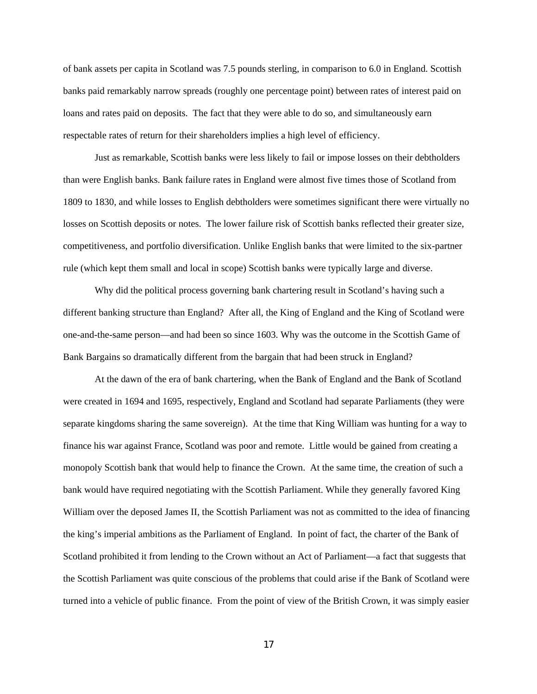of bank assets per capita in Scotland was 7.5 pounds sterling, in comparison to 6.0 in England. Scottish banks paid remarkably narrow spreads (roughly one percentage point) between rates of interest paid on loans and rates paid on deposits. The fact that they were able to do so, and simultaneously earn respectable rates of return for their shareholders implies a high level of efficiency.

Just as remarkable, Scottish banks were less likely to fail or impose losses on their debtholders than were English banks. Bank failure rates in England were almost five times those of Scotland from 1809 to 1830, and while losses to English debtholders were sometimes significant there were virtually no losses on Scottish deposits or notes. The lower failure risk of Scottish banks reflected their greater size, competitiveness, and portfolio diversification. Unlike English banks that were limited to the six-partner rule (which kept them small and local in scope) Scottish banks were typically large and diverse.

Why did the political process governing bank chartering result in Scotland's having such a different banking structure than England? After all, the King of England and the King of Scotland were one-and-the-same person—and had been so since 1603. Why was the outcome in the Scottish Game of Bank Bargains so dramatically different from the bargain that had been struck in England?

At the dawn of the era of bank chartering, when the Bank of England and the Bank of Scotland were created in 1694 and 1695, respectively, England and Scotland had separate Parliaments (they were separate kingdoms sharing the same sovereign). At the time that King William was hunting for a way to finance his war against France, Scotland was poor and remote. Little would be gained from creating a monopoly Scottish bank that would help to finance the Crown. At the same time, the creation of such a bank would have required negotiating with the Scottish Parliament. While they generally favored King William over the deposed James II, the Scottish Parliament was not as committed to the idea of financing the king's imperial ambitions as the Parliament of England. In point of fact, the charter of the Bank of Scotland prohibited it from lending to the Crown without an Act of Parliament—a fact that suggests that the Scottish Parliament was quite conscious of the problems that could arise if the Bank of Scotland were turned into a vehicle of public finance. From the point of view of the British Crown, it was simply easier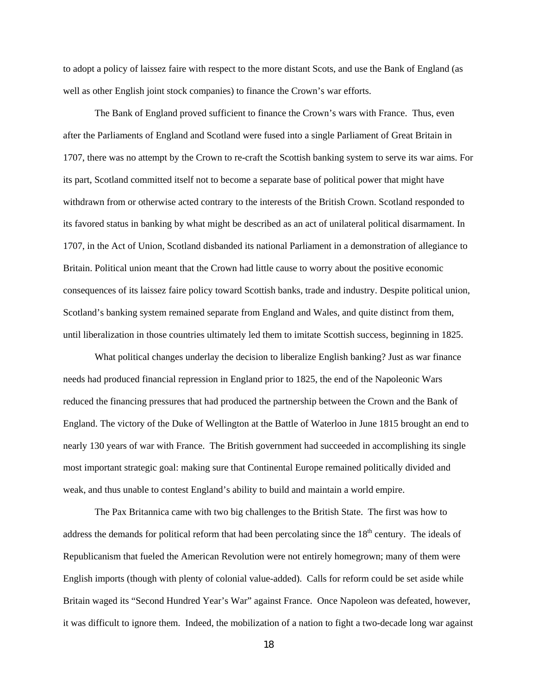to adopt a policy of laissez faire with respect to the more distant Scots, and use the Bank of England (as well as other English joint stock companies) to finance the Crown's war efforts.

The Bank of England proved sufficient to finance the Crown's wars with France. Thus, even after the Parliaments of England and Scotland were fused into a single Parliament of Great Britain in 1707, there was no attempt by the Crown to re-craft the Scottish banking system to serve its war aims. For its part, Scotland committed itself not to become a separate base of political power that might have withdrawn from or otherwise acted contrary to the interests of the British Crown. Scotland responded to its favored status in banking by what might be described as an act of unilateral political disarmament. In 1707, in the Act of Union, Scotland disbanded its national Parliament in a demonstration of allegiance to Britain. Political union meant that the Crown had little cause to worry about the positive economic consequences of its laissez faire policy toward Scottish banks, trade and industry. Despite political union, Scotland's banking system remained separate from England and Wales, and quite distinct from them, until liberalization in those countries ultimately led them to imitate Scottish success, beginning in 1825.

What political changes underlay the decision to liberalize English banking? Just as war finance needs had produced financial repression in England prior to 1825, the end of the Napoleonic Wars reduced the financing pressures that had produced the partnership between the Crown and the Bank of England. The victory of the Duke of Wellington at the Battle of Waterloo in June 1815 brought an end to nearly 130 years of war with France. The British government had succeeded in accomplishing its single most important strategic goal: making sure that Continental Europe remained politically divided and weak, and thus unable to contest England's ability to build and maintain a world empire.

The Pax Britannica came with two big challenges to the British State. The first was how to address the demands for political reform that had been percolating since the  $18<sup>th</sup>$  century. The ideals of Republicanism that fueled the American Revolution were not entirely homegrown; many of them were English imports (though with plenty of colonial value-added). Calls for reform could be set aside while Britain waged its "Second Hundred Year's War" against France. Once Napoleon was defeated, however, it was difficult to ignore them. Indeed, the mobilization of a nation to fight a two-decade long war against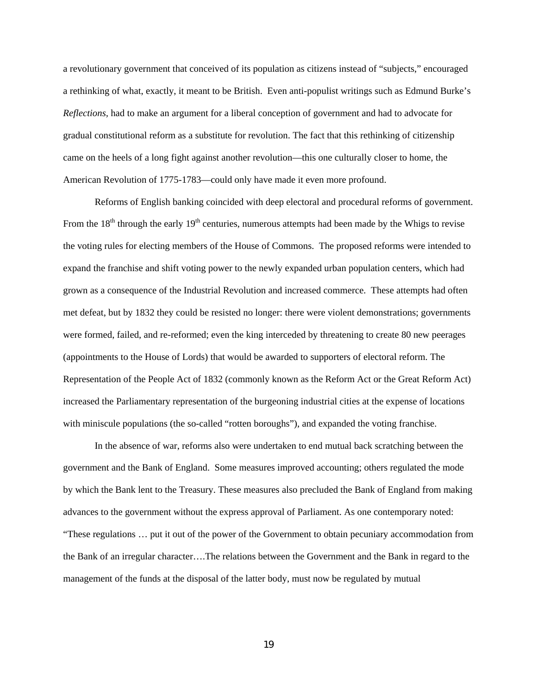a revolutionary government that conceived of its population as citizens instead of "subjects," encouraged a rethinking of what, exactly, it meant to be British. Even anti-populist writings such as Edmund Burke's *Reflections,* had to make an argument for a liberal conception of government and had to advocate for gradual constitutional reform as a substitute for revolution. The fact that this rethinking of citizenship came on the heels of a long fight against another revolution—this one culturally closer to home, the American Revolution of 1775-1783—could only have made it even more profound.

Reforms of English banking coincided with deep electoral and procedural reforms of government. From the  $18<sup>th</sup>$  through the early  $19<sup>th</sup>$  centuries, numerous attempts had been made by the Whigs to revise the voting rules for electing members of the House of Commons. The proposed reforms were intended to expand the franchise and shift voting power to the newly expanded urban population centers, which had grown as a consequence of the Industrial Revolution and increased commerce. These attempts had often met defeat, but by 1832 they could be resisted no longer: there were violent demonstrations; governments were formed, failed, and re-reformed; even the king interceded by threatening to create 80 new peerages (appointments to the House of Lords) that would be awarded to supporters of electoral reform. The Representation of the People Act of 1832 (commonly known as the Reform Act or the Great Reform Act) increased the Parliamentary representation of the burgeoning industrial cities at the expense of locations with miniscule populations (the so-called "rotten boroughs"), and expanded the voting franchise.

In the absence of war, reforms also were undertaken to end mutual back scratching between the government and the Bank of England. Some measures improved accounting; others regulated the mode by which the Bank lent to the Treasury. These measures also precluded the Bank of England from making advances to the government without the express approval of Parliament. As one contemporary noted: "These regulations … put it out of the power of the Government to obtain pecuniary accommodation from the Bank of an irregular character….The relations between the Government and the Bank in regard to the management of the funds at the disposal of the latter body, must now be regulated by mutual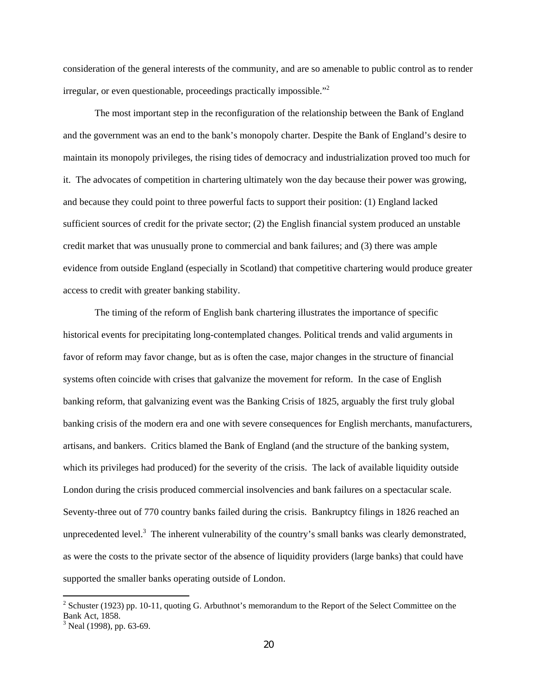consideration of the general interests of the community, and are so amenable to public control as to render irregular, or even questionable, proceedings practically impossible."<sup>2</sup>

The most important step in the reconfiguration of the relationship between the Bank of England and the government was an end to the bank's monopoly charter. Despite the Bank of England's desire to maintain its monopoly privileges, the rising tides of democracy and industrialization proved too much for it. The advocates of competition in chartering ultimately won the day because their power was growing, and because they could point to three powerful facts to support their position: (1) England lacked sufficient sources of credit for the private sector; (2) the English financial system produced an unstable credit market that was unusually prone to commercial and bank failures; and (3) there was ample evidence from outside England (especially in Scotland) that competitive chartering would produce greater access to credit with greater banking stability.

The timing of the reform of English bank chartering illustrates the importance of specific historical events for precipitating long-contemplated changes. Political trends and valid arguments in favor of reform may favor change, but as is often the case, major changes in the structure of financial systems often coincide with crises that galvanize the movement for reform. In the case of English banking reform, that galvanizing event was the Banking Crisis of 1825, arguably the first truly global banking crisis of the modern era and one with severe consequences for English merchants, manufacturers, artisans, and bankers. Critics blamed the Bank of England (and the structure of the banking system, which its privileges had produced) for the severity of the crisis. The lack of available liquidity outside London during the crisis produced commercial insolvencies and bank failures on a spectacular scale. Seventy-three out of 770 country banks failed during the crisis. Bankruptcy filings in 1826 reached an unprecedented level.<sup>3</sup> The inherent vulnerability of the country's small banks was clearly demonstrated, as were the costs to the private sector of the absence of liquidity providers (large banks) that could have supported the smaller banks operating outside of London.

 $\overline{\phantom{a}}$ 

 $2^{2}$  Schuster (1923) pp. 10-11, quoting G. Arbuthnot's memorandum to the Report of the Select Committee on the Bank Act, 1858.

 $3$  Neal (1998), pp. 63-69.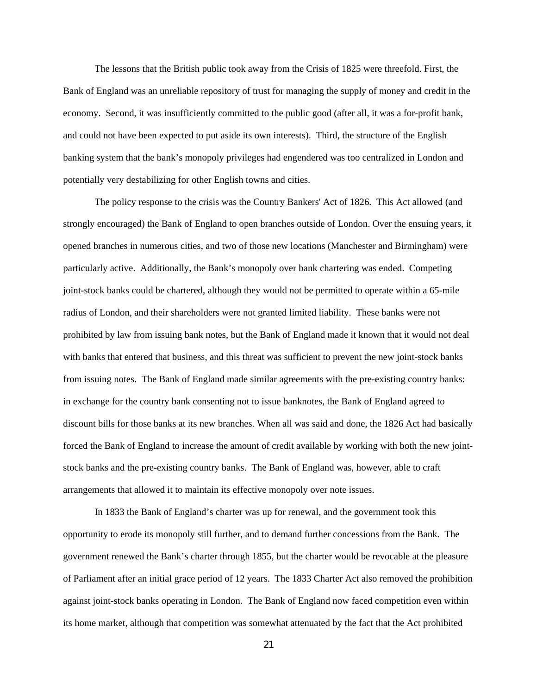The lessons that the British public took away from the Crisis of 1825 were threefold. First, the Bank of England was an unreliable repository of trust for managing the supply of money and credit in the economy. Second, it was insufficiently committed to the public good (after all, it was a for-profit bank, and could not have been expected to put aside its own interests). Third, the structure of the English banking system that the bank's monopoly privileges had engendered was too centralized in London and potentially very destabilizing for other English towns and cities.

The policy response to the crisis was the Country Bankers' Act of 1826. This Act allowed (and strongly encouraged) the Bank of England to open branches outside of London. Over the ensuing years, it opened branches in numerous cities, and two of those new locations (Manchester and Birmingham) were particularly active. Additionally, the Bank's monopoly over bank chartering was ended. Competing joint-stock banks could be chartered, although they would not be permitted to operate within a 65-mile radius of London, and their shareholders were not granted limited liability. These banks were not prohibited by law from issuing bank notes, but the Bank of England made it known that it would not deal with banks that entered that business, and this threat was sufficient to prevent the new joint-stock banks from issuing notes. The Bank of England made similar agreements with the pre-existing country banks: in exchange for the country bank consenting not to issue banknotes, the Bank of England agreed to discount bills for those banks at its new branches. When all was said and done, the 1826 Act had basically forced the Bank of England to increase the amount of credit available by working with both the new jointstock banks and the pre-existing country banks. The Bank of England was, however, able to craft arrangements that allowed it to maintain its effective monopoly over note issues.

In 1833 the Bank of England's charter was up for renewal, and the government took this opportunity to erode its monopoly still further, and to demand further concessions from the Bank. The government renewed the Bank's charter through 1855, but the charter would be revocable at the pleasure of Parliament after an initial grace period of 12 years. The 1833 Charter Act also removed the prohibition against joint-stock banks operating in London. The Bank of England now faced competition even within its home market, although that competition was somewhat attenuated by the fact that the Act prohibited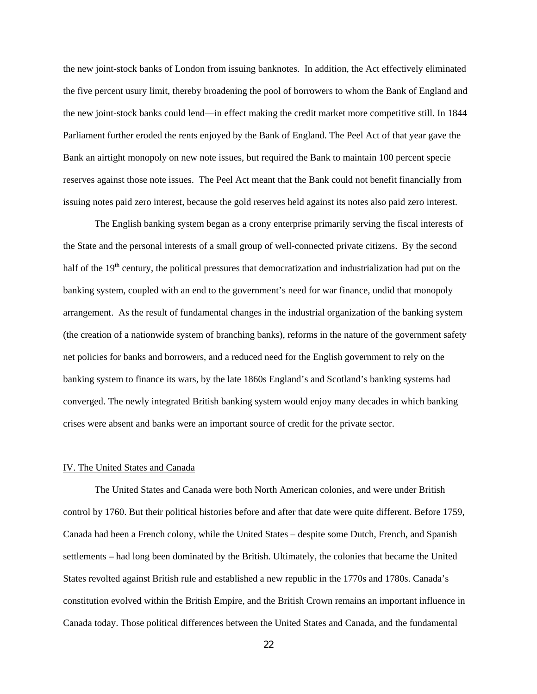the new joint-stock banks of London from issuing banknotes. In addition, the Act effectively eliminated the five percent usury limit, thereby broadening the pool of borrowers to whom the Bank of England and the new joint-stock banks could lend—in effect making the credit market more competitive still. In 1844 Parliament further eroded the rents enjoyed by the Bank of England. The Peel Act of that year gave the Bank an airtight monopoly on new note issues, but required the Bank to maintain 100 percent specie reserves against those note issues. The Peel Act meant that the Bank could not benefit financially from issuing notes paid zero interest, because the gold reserves held against its notes also paid zero interest.

The English banking system began as a crony enterprise primarily serving the fiscal interests of the State and the personal interests of a small group of well-connected private citizens. By the second half of the 19<sup>th</sup> century, the political pressures that democratization and industrialization had put on the banking system, coupled with an end to the government's need for war finance, undid that monopoly arrangement. As the result of fundamental changes in the industrial organization of the banking system (the creation of a nationwide system of branching banks), reforms in the nature of the government safety net policies for banks and borrowers, and a reduced need for the English government to rely on the banking system to finance its wars, by the late 1860s England's and Scotland's banking systems had converged. The newly integrated British banking system would enjoy many decades in which banking crises were absent and banks were an important source of credit for the private sector.

## IV. The United States and Canada

 The United States and Canada were both North American colonies, and were under British control by 1760. But their political histories before and after that date were quite different. Before 1759, Canada had been a French colony, while the United States – despite some Dutch, French, and Spanish settlements – had long been dominated by the British. Ultimately, the colonies that became the United States revolted against British rule and established a new republic in the 1770s and 1780s. Canada's constitution evolved within the British Empire, and the British Crown remains an important influence in Canada today. Those political differences between the United States and Canada, and the fundamental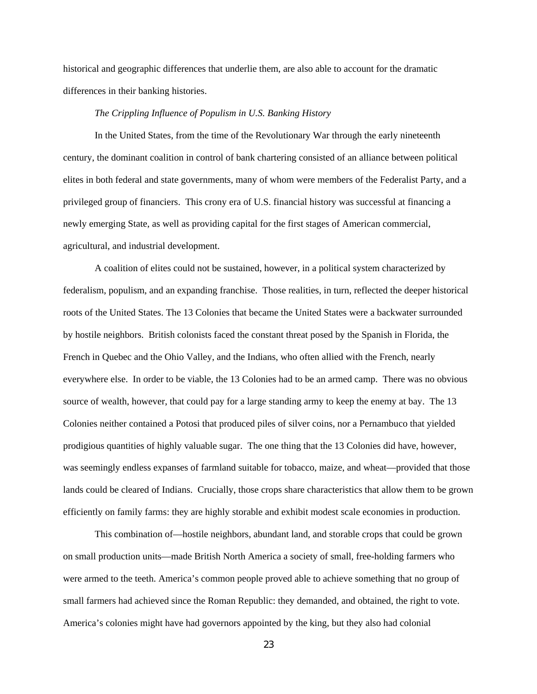historical and geographic differences that underlie them, are also able to account for the dramatic differences in their banking histories.

## *The Crippling Influence of Populism in U.S. Banking History*

In the United States, from the time of the Revolutionary War through the early nineteenth century, the dominant coalition in control of bank chartering consisted of an alliance between political elites in both federal and state governments, many of whom were members of the Federalist Party, and a privileged group of financiers. This crony era of U.S. financial history was successful at financing a newly emerging State, as well as providing capital for the first stages of American commercial, agricultural, and industrial development.

A coalition of elites could not be sustained, however, in a political system characterized by federalism, populism, and an expanding franchise. Those realities, in turn, reflected the deeper historical roots of the United States. The 13 Colonies that became the United States were a backwater surrounded by hostile neighbors. British colonists faced the constant threat posed by the Spanish in Florida, the French in Quebec and the Ohio Valley, and the Indians, who often allied with the French, nearly everywhere else. In order to be viable, the 13 Colonies had to be an armed camp. There was no obvious source of wealth, however, that could pay for a large standing army to keep the enemy at bay. The 13 Colonies neither contained a Potosi that produced piles of silver coins, nor a Pernambuco that yielded prodigious quantities of highly valuable sugar. The one thing that the 13 Colonies did have, however, was seemingly endless expanses of farmland suitable for tobacco, maize, and wheat—provided that those lands could be cleared of Indians. Crucially, those crops share characteristics that allow them to be grown efficiently on family farms: they are highly storable and exhibit modest scale economies in production.

This combination of—hostile neighbors, abundant land, and storable crops that could be grown on small production units—made British North America a society of small, free-holding farmers who were armed to the teeth. America's common people proved able to achieve something that no group of small farmers had achieved since the Roman Republic: they demanded, and obtained, the right to vote. America's colonies might have had governors appointed by the king, but they also had colonial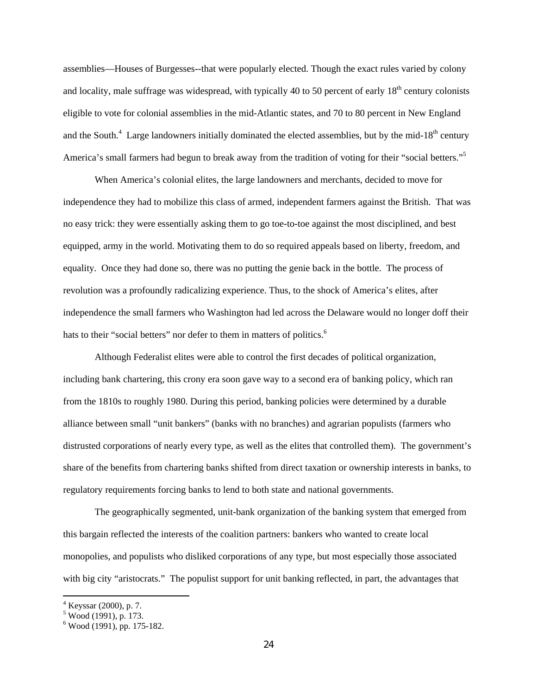assemblies—Houses of Burgesses--that were popularly elected. Though the exact rules varied by colony and locality, male suffrage was widespread, with typically 40 to 50 percent of early  $18<sup>th</sup>$  century colonists eligible to vote for colonial assemblies in the mid-Atlantic states, and 70 to 80 percent in New England and the South.<sup>4</sup> Large landowners initially dominated the elected assemblies, but by the mid-18<sup>th</sup> century America's small farmers had begun to break away from the tradition of voting for their "social betters."<sup>5</sup>

When America's colonial elites, the large landowners and merchants, decided to move for independence they had to mobilize this class of armed, independent farmers against the British. That was no easy trick: they were essentially asking them to go toe-to-toe against the most disciplined, and best equipped, army in the world. Motivating them to do so required appeals based on liberty, freedom, and equality. Once they had done so, there was no putting the genie back in the bottle. The process of revolution was a profoundly radicalizing experience. Thus, to the shock of America's elites, after independence the small farmers who Washington had led across the Delaware would no longer doff their hats to their "social betters" nor defer to them in matters of politics.<sup>6</sup>

Although Federalist elites were able to control the first decades of political organization, including bank chartering, this crony era soon gave way to a second era of banking policy, which ran from the 1810s to roughly 1980. During this period, banking policies were determined by a durable alliance between small "unit bankers" (banks with no branches) and agrarian populists (farmers who distrusted corporations of nearly every type, as well as the elites that controlled them). The government's share of the benefits from chartering banks shifted from direct taxation or ownership interests in banks, to regulatory requirements forcing banks to lend to both state and national governments.

The geographically segmented, unit-bank organization of the banking system that emerged from this bargain reflected the interests of the coalition partners: bankers who wanted to create local monopolies, and populists who disliked corporations of any type, but most especially those associated with big city "aristocrats." The populist support for unit banking reflected, in part, the advantages that

<sup>&</sup>lt;sup>4</sup> Keyssar (2000), p. 7.<br><sup>5</sup> Wood (1991), p. 173.

<sup>6</sup> Wood (1991), pp. 175-182.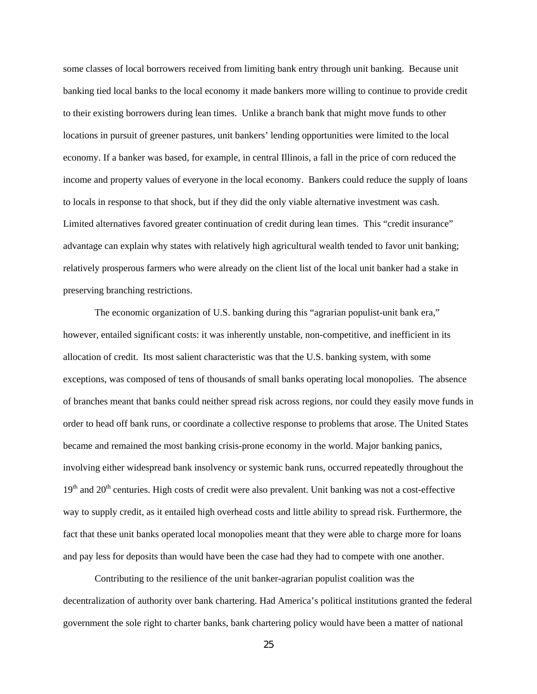some classes of local borrowers received from limiting bank entry through unit banking. Because unit banking tied local banks to the local economy it made bankers more willing to continue to provide credit to their existing borrowers during lean times. Unlike a branch bank that might move funds to other locations in pursuit of greener pastures, unit bankers' lending opportunities were limited to the local economy. If a banker was based, for example, in central Illinois, a fall in the price of corn reduced the income and property values of everyone in the local economy. Bankers could reduce the supply of loans to locals in response to that shock, but if they did the only viable alternative investment was cash. Limited alternatives favored greater continuation of credit during lean times. This "credit insurance" advantage can explain why states with relatively high agricultural wealth tended to favor unit banking; relatively prosperous farmers who were already on the client list of the local unit banker had a stake in preserving branching restrictions.

The economic organization of U.S. banking during this "agrarian populist-unit bank era," however, entailed significant costs: it was inherently unstable, non-competitive, and inefficient in its allocation of credit. Its most salient characteristic was that the U.S. banking system, with some exceptions, was composed of tens of thousands of small banks operating local monopolies. The absence of branches meant that banks could neither spread risk across regions, nor could they easily move funds in order to head off bank runs, or coordinate a collective response to problems that arose. The United States became and remained the most banking crisis-prone economy in the world. Major banking panics, involving either widespread bank insolvency or systemic bank runs, occurred repeatedly throughout the  $19<sup>th</sup>$  and  $20<sup>th</sup>$  centuries. High costs of credit were also prevalent. Unit banking was not a cost-effective way to supply credit, as it entailed high overhead costs and little ability to spread risk. Furthermore, the fact that these unit banks operated local monopolies meant that they were able to charge more for loans and pay less for deposits than would have been the case had they had to compete with one another.

Contributing to the resilience of the unit banker-agrarian populist coalition was the decentralization of authority over bank chartering. Had America's political institutions granted the federal government the sole right to charter banks, bank chartering policy would have been a matter of national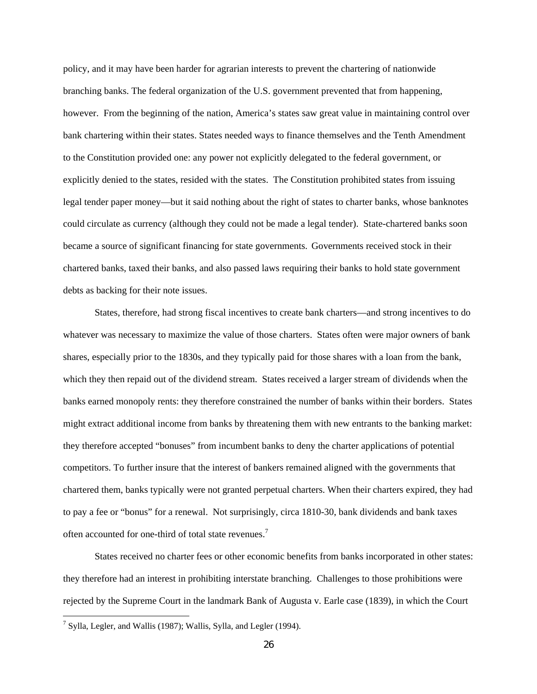policy, and it may have been harder for agrarian interests to prevent the chartering of nationwide branching banks. The federal organization of the U.S. government prevented that from happening, however. From the beginning of the nation, America's states saw great value in maintaining control over bank chartering within their states. States needed ways to finance themselves and the Tenth Amendment to the Constitution provided one: any power not explicitly delegated to the federal government, or explicitly denied to the states, resided with the states. The Constitution prohibited states from issuing legal tender paper money—but it said nothing about the right of states to charter banks, whose banknotes could circulate as currency (although they could not be made a legal tender). State-chartered banks soon became a source of significant financing for state governments. Governments received stock in their chartered banks, taxed their banks, and also passed laws requiring their banks to hold state government debts as backing for their note issues.

States, therefore, had strong fiscal incentives to create bank charters—and strong incentives to do whatever was necessary to maximize the value of those charters. States often were major owners of bank shares, especially prior to the 1830s, and they typically paid for those shares with a loan from the bank, which they then repaid out of the dividend stream. States received a larger stream of dividends when the banks earned monopoly rents: they therefore constrained the number of banks within their borders. States might extract additional income from banks by threatening them with new entrants to the banking market: they therefore accepted "bonuses" from incumbent banks to deny the charter applications of potential competitors. To further insure that the interest of bankers remained aligned with the governments that chartered them, banks typically were not granted perpetual charters. When their charters expired, they had to pay a fee or "bonus" for a renewal. Not surprisingly, circa 1810-30, bank dividends and bank taxes often accounted for one-third of total state revenues.<sup>7</sup>

States received no charter fees or other economic benefits from banks incorporated in other states: they therefore had an interest in prohibiting interstate branching. Challenges to those prohibitions were rejected by the Supreme Court in the landmark Bank of Augusta v. Earle case (1839), in which the Court

**.** 

 $^7$  Sylla, Legler, and Wallis (1987); Wallis, Sylla, and Legler (1994).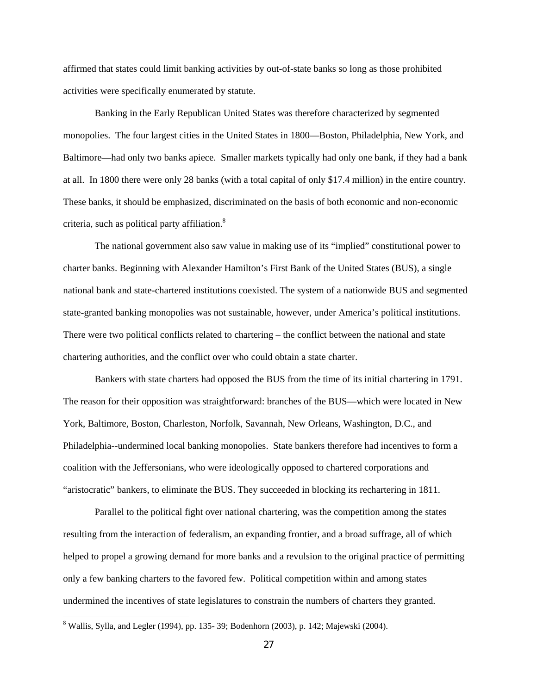affirmed that states could limit banking activities by out-of-state banks so long as those prohibited activities were specifically enumerated by statute.

Banking in the Early Republican United States was therefore characterized by segmented monopolies. The four largest cities in the United States in 1800—Boston, Philadelphia, New York, and Baltimore—had only two banks apiece. Smaller markets typically had only one bank, if they had a bank at all. In 1800 there were only 28 banks (with a total capital of only \$17.4 million) in the entire country. These banks, it should be emphasized, discriminated on the basis of both economic and non-economic criteria, such as political party affiliation.<sup>8</sup>

The national government also saw value in making use of its "implied" constitutional power to charter banks. Beginning with Alexander Hamilton's First Bank of the United States (BUS), a single national bank and state-chartered institutions coexisted. The system of a nationwide BUS and segmented state-granted banking monopolies was not sustainable, however, under America's political institutions. There were two political conflicts related to chartering – the conflict between the national and state chartering authorities, and the conflict over who could obtain a state charter.

Bankers with state charters had opposed the BUS from the time of its initial chartering in 1791. The reason for their opposition was straightforward: branches of the BUS—which were located in New York, Baltimore, Boston, Charleston, Norfolk, Savannah, New Orleans, Washington, D.C., and Philadelphia--undermined local banking monopolies. State bankers therefore had incentives to form a coalition with the Jeffersonians, who were ideologically opposed to chartered corporations and "aristocratic" bankers, to eliminate the BUS. They succeeded in blocking its rechartering in 1811.

Parallel to the political fight over national chartering, was the competition among the states resulting from the interaction of federalism, an expanding frontier, and a broad suffrage, all of which helped to propel a growing demand for more banks and a revulsion to the original practice of permitting only a few banking charters to the favored few. Political competition within and among states undermined the incentives of state legislatures to constrain the numbers of charters they granted.

**.** 

<sup>&</sup>lt;sup>8</sup> Wallis, Sylla, and Legler (1994), pp. 135-39; Bodenhorn (2003), p. 142; Majewski (2004).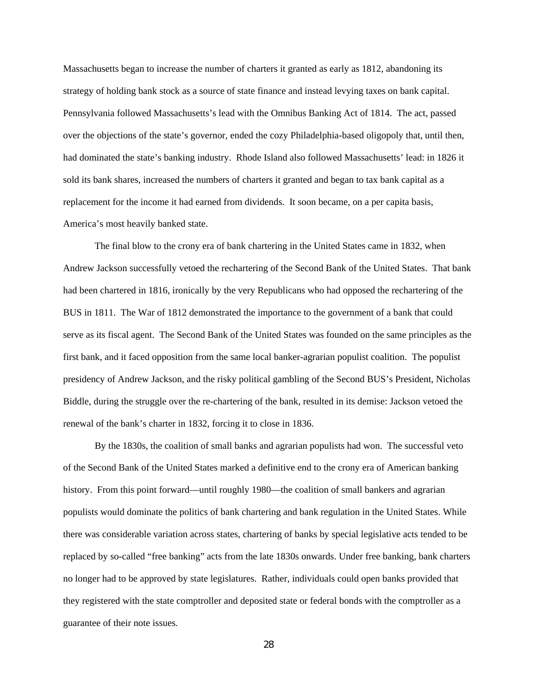Massachusetts began to increase the number of charters it granted as early as 1812, abandoning its strategy of holding bank stock as a source of state finance and instead levying taxes on bank capital. Pennsylvania followed Massachusetts's lead with the Omnibus Banking Act of 1814. The act, passed over the objections of the state's governor, ended the cozy Philadelphia-based oligopoly that, until then, had dominated the state's banking industry. Rhode Island also followed Massachusetts' lead: in 1826 it sold its bank shares, increased the numbers of charters it granted and began to tax bank capital as a replacement for the income it had earned from dividends. It soon became, on a per capita basis, America's most heavily banked state.

The final blow to the crony era of bank chartering in the United States came in 1832, when Andrew Jackson successfully vetoed the rechartering of the Second Bank of the United States. That bank had been chartered in 1816, ironically by the very Republicans who had opposed the rechartering of the BUS in 1811. The War of 1812 demonstrated the importance to the government of a bank that could serve as its fiscal agent. The Second Bank of the United States was founded on the same principles as the first bank, and it faced opposition from the same local banker-agrarian populist coalition. The populist presidency of Andrew Jackson, and the risky political gambling of the Second BUS's President, Nicholas Biddle, during the struggle over the re-chartering of the bank, resulted in its demise: Jackson vetoed the renewal of the bank's charter in 1832, forcing it to close in 1836.

By the 1830s, the coalition of small banks and agrarian populists had won. The successful veto of the Second Bank of the United States marked a definitive end to the crony era of American banking history. From this point forward—until roughly 1980—the coalition of small bankers and agrarian populists would dominate the politics of bank chartering and bank regulation in the United States. While there was considerable variation across states, chartering of banks by special legislative acts tended to be replaced by so-called "free banking" acts from the late 1830s onwards. Under free banking, bank charters no longer had to be approved by state legislatures. Rather, individuals could open banks provided that they registered with the state comptroller and deposited state or federal bonds with the comptroller as a guarantee of their note issues.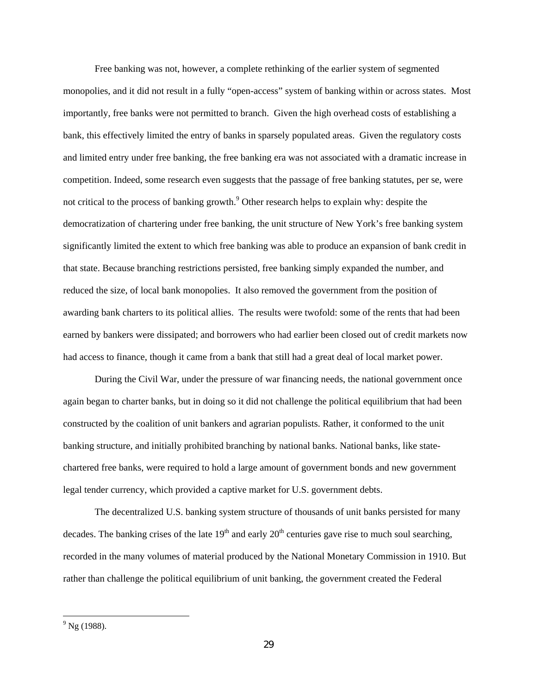Free banking was not, however, a complete rethinking of the earlier system of segmented monopolies, and it did not result in a fully "open-access" system of banking within or across states. Most importantly, free banks were not permitted to branch. Given the high overhead costs of establishing a bank, this effectively limited the entry of banks in sparsely populated areas. Given the regulatory costs and limited entry under free banking, the free banking era was not associated with a dramatic increase in competition. Indeed, some research even suggests that the passage of free banking statutes, per se, were not critical to the process of banking growth.<sup>9</sup> Other research helps to explain why: despite the democratization of chartering under free banking, the unit structure of New York's free banking system significantly limited the extent to which free banking was able to produce an expansion of bank credit in that state. Because branching restrictions persisted, free banking simply expanded the number, and reduced the size, of local bank monopolies. It also removed the government from the position of awarding bank charters to its political allies. The results were twofold: some of the rents that had been earned by bankers were dissipated; and borrowers who had earlier been closed out of credit markets now had access to finance, though it came from a bank that still had a great deal of local market power.

During the Civil War, under the pressure of war financing needs, the national government once again began to charter banks, but in doing so it did not challenge the political equilibrium that had been constructed by the coalition of unit bankers and agrarian populists. Rather, it conformed to the unit banking structure, and initially prohibited branching by national banks. National banks, like statechartered free banks, were required to hold a large amount of government bonds and new government legal tender currency, which provided a captive market for U.S. government debts.

The decentralized U.S. banking system structure of thousands of unit banks persisted for many decades. The banking crises of the late  $19<sup>th</sup>$  and early  $20<sup>th</sup>$  centuries gave rise to much soul searching, recorded in the many volumes of material produced by the National Monetary Commission in 1910. But rather than challenge the political equilibrium of unit banking, the government created the Federal

 $\overline{\phantom{a}}$ 

 $^{9}$  Ng (1988).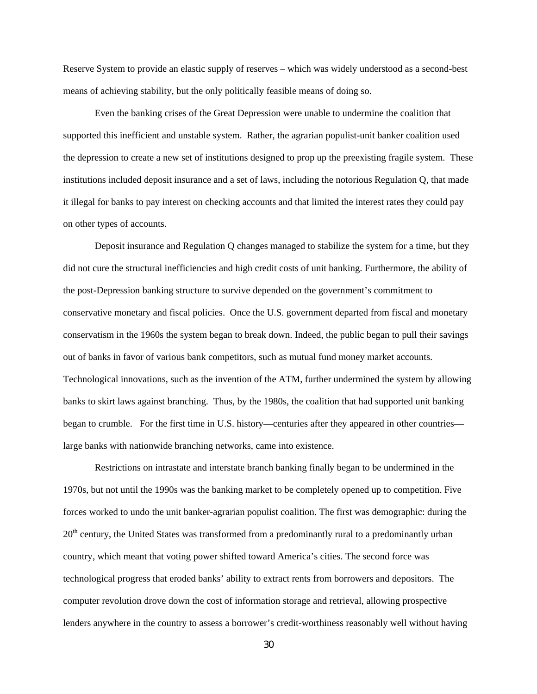Reserve System to provide an elastic supply of reserves – which was widely understood as a second-best means of achieving stability, but the only politically feasible means of doing so.

Even the banking crises of the Great Depression were unable to undermine the coalition that supported this inefficient and unstable system. Rather, the agrarian populist-unit banker coalition used the depression to create a new set of institutions designed to prop up the preexisting fragile system. These institutions included deposit insurance and a set of laws, including the notorious Regulation Q, that made it illegal for banks to pay interest on checking accounts and that limited the interest rates they could pay on other types of accounts.

Deposit insurance and Regulation Q changes managed to stabilize the system for a time, but they did not cure the structural inefficiencies and high credit costs of unit banking. Furthermore, the ability of the post-Depression banking structure to survive depended on the government's commitment to conservative monetary and fiscal policies. Once the U.S. government departed from fiscal and monetary conservatism in the 1960s the system began to break down. Indeed, the public began to pull their savings out of banks in favor of various bank competitors, such as mutual fund money market accounts. Technological innovations, such as the invention of the ATM, further undermined the system by allowing banks to skirt laws against branching. Thus, by the 1980s, the coalition that had supported unit banking began to crumble. For the first time in U.S. history—centuries after they appeared in other countries large banks with nationwide branching networks, came into existence.

Restrictions on intrastate and interstate branch banking finally began to be undermined in the 1970s, but not until the 1990s was the banking market to be completely opened up to competition. Five forces worked to undo the unit banker-agrarian populist coalition. The first was demographic: during the  $20<sup>th</sup>$  century, the United States was transformed from a predominantly rural to a predominantly urban country, which meant that voting power shifted toward America's cities. The second force was technological progress that eroded banks' ability to extract rents from borrowers and depositors. The computer revolution drove down the cost of information storage and retrieval, allowing prospective lenders anywhere in the country to assess a borrower's credit-worthiness reasonably well without having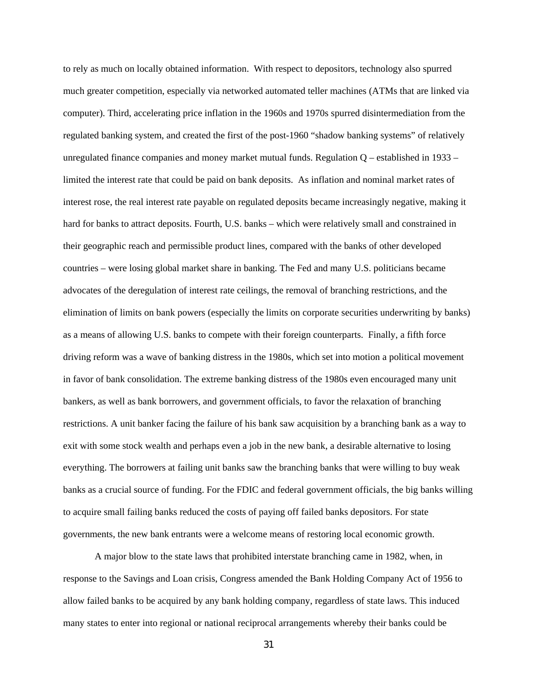to rely as much on locally obtained information. With respect to depositors, technology also spurred much greater competition, especially via networked automated teller machines (ATMs that are linked via computer). Third, accelerating price inflation in the 1960s and 1970s spurred disintermediation from the regulated banking system, and created the first of the post-1960 "shadow banking systems" of relatively unregulated finance companies and money market mutual funds. Regulation Q – established in 1933 – limited the interest rate that could be paid on bank deposits. As inflation and nominal market rates of interest rose, the real interest rate payable on regulated deposits became increasingly negative, making it hard for banks to attract deposits. Fourth, U.S. banks – which were relatively small and constrained in their geographic reach and permissible product lines, compared with the banks of other developed countries – were losing global market share in banking. The Fed and many U.S. politicians became advocates of the deregulation of interest rate ceilings, the removal of branching restrictions, and the elimination of limits on bank powers (especially the limits on corporate securities underwriting by banks) as a means of allowing U.S. banks to compete with their foreign counterparts. Finally, a fifth force driving reform was a wave of banking distress in the 1980s, which set into motion a political movement in favor of bank consolidation. The extreme banking distress of the 1980s even encouraged many unit bankers, as well as bank borrowers, and government officials, to favor the relaxation of branching restrictions. A unit banker facing the failure of his bank saw acquisition by a branching bank as a way to exit with some stock wealth and perhaps even a job in the new bank, a desirable alternative to losing everything. The borrowers at failing unit banks saw the branching banks that were willing to buy weak banks as a crucial source of funding. For the FDIC and federal government officials, the big banks willing to acquire small failing banks reduced the costs of paying off failed banks depositors. For state governments, the new bank entrants were a welcome means of restoring local economic growth.

A major blow to the state laws that prohibited interstate branching came in 1982, when, in response to the Savings and Loan crisis, Congress amended the Bank Holding Company Act of 1956 to allow failed banks to be acquired by any bank holding company, regardless of state laws. This induced many states to enter into regional or national reciprocal arrangements whereby their banks could be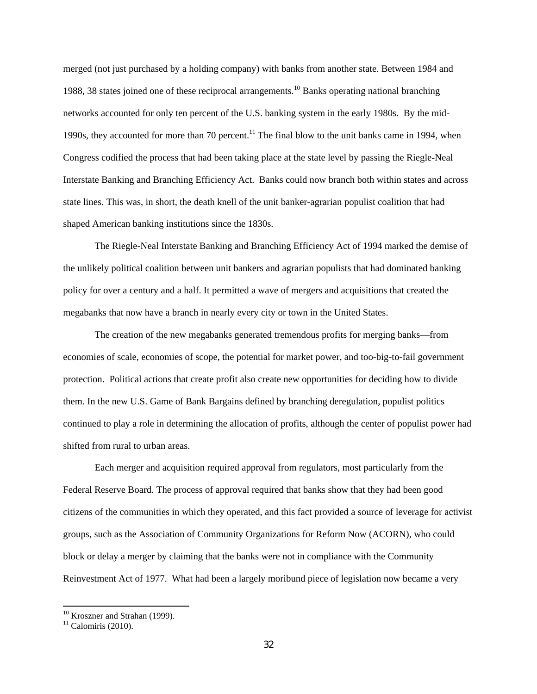merged (not just purchased by a holding company) with banks from another state. Between 1984 and 1988, 38 states joined one of these reciprocal arrangements.<sup>10</sup> Banks operating national branching networks accounted for only ten percent of the U.S. banking system in the early 1980s. By the mid-1990s, they accounted for more than 70 percent.<sup>11</sup> The final blow to the unit banks came in 1994, when Congress codified the process that had been taking place at the state level by passing the Riegle-Neal Interstate Banking and Branching Efficiency Act. Banks could now branch both within states and across state lines. This was, in short, the death knell of the unit banker-agrarian populist coalition that had shaped American banking institutions since the 1830s.

The Riegle-Neal Interstate Banking and Branching Efficiency Act of 1994 marked the demise of the unlikely political coalition between unit bankers and agrarian populists that had dominated banking policy for over a century and a half. It permitted a wave of mergers and acquisitions that created the megabanks that now have a branch in nearly every city or town in the United States.

The creation of the new megabanks generated tremendous profits for merging banks—from economies of scale, economies of scope, the potential for market power, and too-big-to-fail government protection. Political actions that create profit also create new opportunities for deciding how to divide them. In the new U.S. Game of Bank Bargains defined by branching deregulation, populist politics continued to play a role in determining the allocation of profits, although the center of populist power had shifted from rural to urban areas.

Each merger and acquisition required approval from regulators, most particularly from the Federal Reserve Board. The process of approval required that banks show that they had been good citizens of the communities in which they operated, and this fact provided a source of leverage for activist groups, such as the Association of Community Organizations for Reform Now (ACORN), who could block or delay a merger by claiming that the banks were not in compliance with the Community Reinvestment Act of 1977. What had been a largely moribund piece of legislation now became a very

<sup>&</sup>lt;sup>10</sup> Kroszner and Strahan (1999).

 $11$  Calomiris (2010).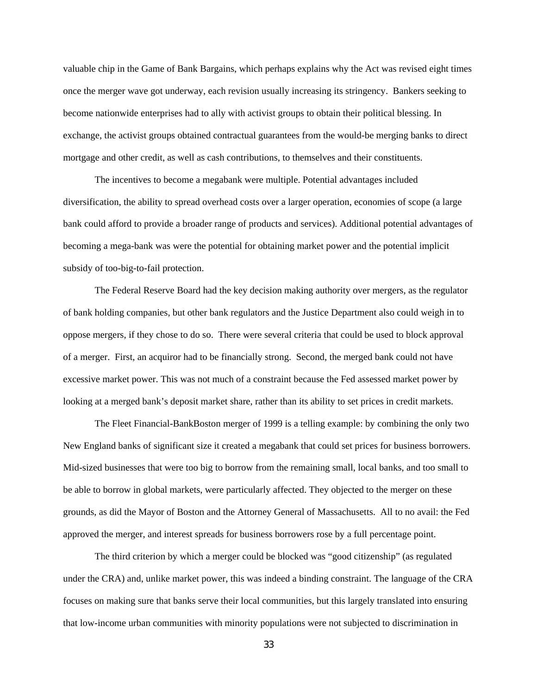valuable chip in the Game of Bank Bargains, which perhaps explains why the Act was revised eight times once the merger wave got underway, each revision usually increasing its stringency. Bankers seeking to become nationwide enterprises had to ally with activist groups to obtain their political blessing. In exchange, the activist groups obtained contractual guarantees from the would-be merging banks to direct mortgage and other credit, as well as cash contributions, to themselves and their constituents.

The incentives to become a megabank were multiple. Potential advantages included diversification, the ability to spread overhead costs over a larger operation, economies of scope (a large bank could afford to provide a broader range of products and services). Additional potential advantages of becoming a mega-bank was were the potential for obtaining market power and the potential implicit subsidy of too-big-to-fail protection.

The Federal Reserve Board had the key decision making authority over mergers, as the regulator of bank holding companies, but other bank regulators and the Justice Department also could weigh in to oppose mergers, if they chose to do so. There were several criteria that could be used to block approval of a merger. First, an acquiror had to be financially strong. Second, the merged bank could not have excessive market power. This was not much of a constraint because the Fed assessed market power by looking at a merged bank's deposit market share, rather than its ability to set prices in credit markets.

The Fleet Financial-BankBoston merger of 1999 is a telling example: by combining the only two New England banks of significant size it created a megabank that could set prices for business borrowers. Mid-sized businesses that were too big to borrow from the remaining small, local banks, and too small to be able to borrow in global markets, were particularly affected. They objected to the merger on these grounds, as did the Mayor of Boston and the Attorney General of Massachusetts. All to no avail: the Fed approved the merger, and interest spreads for business borrowers rose by a full percentage point.

The third criterion by which a merger could be blocked was "good citizenship" (as regulated under the CRA) and, unlike market power, this was indeed a binding constraint. The language of the CRA focuses on making sure that banks serve their local communities, but this largely translated into ensuring that low-income urban communities with minority populations were not subjected to discrimination in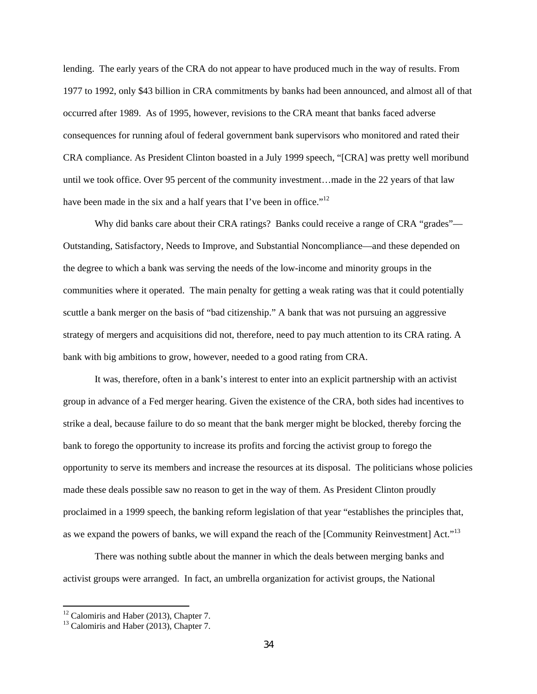lending. The early years of the CRA do not appear to have produced much in the way of results. From 1977 to 1992, only \$43 billion in CRA commitments by banks had been announced, and almost all of that occurred after 1989. As of 1995, however, revisions to the CRA meant that banks faced adverse consequences for running afoul of federal government bank supervisors who monitored and rated their CRA compliance. As President Clinton boasted in a July 1999 speech, "[CRA] was pretty well moribund until we took office. Over 95 percent of the community investment…made in the 22 years of that law have been made in the six and a half years that I've been in office." $12$ 

Why did banks care about their CRA ratings? Banks could receive a range of CRA "grades"— Outstanding, Satisfactory, Needs to Improve, and Substantial Noncompliance—and these depended on the degree to which a bank was serving the needs of the low-income and minority groups in the communities where it operated. The main penalty for getting a weak rating was that it could potentially scuttle a bank merger on the basis of "bad citizenship." A bank that was not pursuing an aggressive strategy of mergers and acquisitions did not, therefore, need to pay much attention to its CRA rating. A bank with big ambitions to grow, however, needed to a good rating from CRA.

It was, therefore, often in a bank's interest to enter into an explicit partnership with an activist group in advance of a Fed merger hearing. Given the existence of the CRA, both sides had incentives to strike a deal, because failure to do so meant that the bank merger might be blocked, thereby forcing the bank to forego the opportunity to increase its profits and forcing the activist group to forego the opportunity to serve its members and increase the resources at its disposal. The politicians whose policies made these deals possible saw no reason to get in the way of them. As President Clinton proudly proclaimed in a 1999 speech, the banking reform legislation of that year "establishes the principles that, as we expand the powers of banks, we will expand the reach of the [Community Reinvestment] Act."<sup>13</sup>

There was nothing subtle about the manner in which the deals between merging banks and activist groups were arranged. In fact, an umbrella organization for activist groups, the National

 $12$  Calomiris and Haber (2013), Chapter 7.

<sup>&</sup>lt;sup>13</sup> Calomiris and Haber (2013), Chapter 7.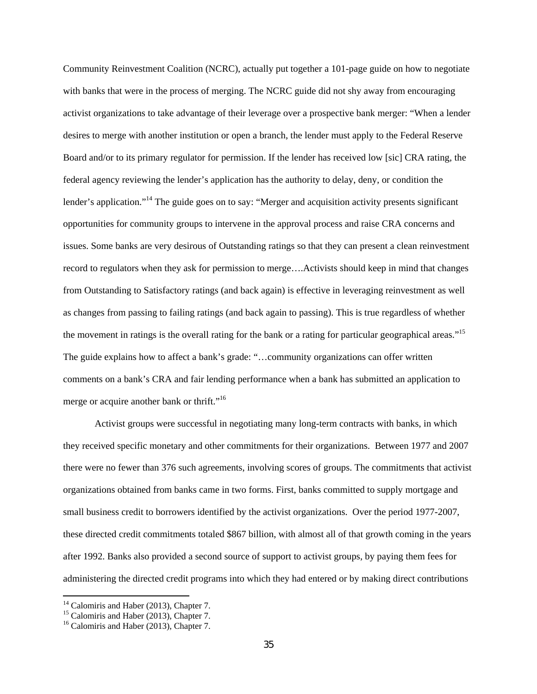Community Reinvestment Coalition (NCRC), actually put together a 101-page guide on how to negotiate with banks that were in the process of merging. The NCRC guide did not shy away from encouraging activist organizations to take advantage of their leverage over a prospective bank merger: "When a lender desires to merge with another institution or open a branch, the lender must apply to the Federal Reserve Board and/or to its primary regulator for permission. If the lender has received low [sic] CRA rating, the federal agency reviewing the lender's application has the authority to delay, deny, or condition the lender's application."<sup>14</sup> The guide goes on to say: "Merger and acquisition activity presents significant opportunities for community groups to intervene in the approval process and raise CRA concerns and issues. Some banks are very desirous of Outstanding ratings so that they can present a clean reinvestment record to regulators when they ask for permission to merge….Activists should keep in mind that changes from Outstanding to Satisfactory ratings (and back again) is effective in leveraging reinvestment as well as changes from passing to failing ratings (and back again to passing). This is true regardless of whether the movement in ratings is the overall rating for the bank or a rating for particular geographical areas."<sup>15</sup> The guide explains how to affect a bank's grade: "…community organizations can offer written comments on a bank's CRA and fair lending performance when a bank has submitted an application to merge or acquire another bank or thrift."<sup>16</sup>

Activist groups were successful in negotiating many long-term contracts with banks, in which they received specific monetary and other commitments for their organizations. Between 1977 and 2007 there were no fewer than 376 such agreements, involving scores of groups. The commitments that activist organizations obtained from banks came in two forms. First, banks committed to supply mortgage and small business credit to borrowers identified by the activist organizations. Over the period 1977-2007, these directed credit commitments totaled \$867 billion, with almost all of that growth coming in the years after 1992. Banks also provided a second source of support to activist groups, by paying them fees for administering the directed credit programs into which they had entered or by making direct contributions

 $\overline{\phantom{a}}$ 

<sup>&</sup>lt;sup>14</sup> Calomiris and Haber (2013), Chapter 7.

<sup>&</sup>lt;sup>15</sup> Calomiris and Haber (2013), Chapter 7.

<sup>&</sup>lt;sup>16</sup> Calomiris and Haber (2013), Chapter 7.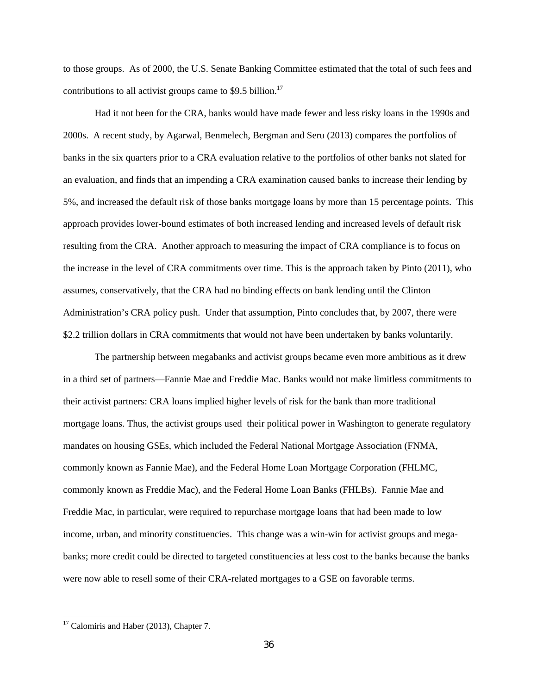to those groups. As of 2000, the U.S. Senate Banking Committee estimated that the total of such fees and contributions to all activist groups came to \$9.5 billion.<sup>17</sup>

Had it not been for the CRA, banks would have made fewer and less risky loans in the 1990s and 2000s. A recent study, by Agarwal, Benmelech, Bergman and Seru (2013) compares the portfolios of banks in the six quarters prior to a CRA evaluation relative to the portfolios of other banks not slated for an evaluation, and finds that an impending a CRA examination caused banks to increase their lending by 5%, and increased the default risk of those banks mortgage loans by more than 15 percentage points. This approach provides lower-bound estimates of both increased lending and increased levels of default risk resulting from the CRA. Another approach to measuring the impact of CRA compliance is to focus on the increase in the level of CRA commitments over time. This is the approach taken by Pinto (2011), who assumes, conservatively, that the CRA had no binding effects on bank lending until the Clinton Administration's CRA policy push. Under that assumption, Pinto concludes that, by 2007, there were \$2.2 trillion dollars in CRA commitments that would not have been undertaken by banks voluntarily.

The partnership between megabanks and activist groups became even more ambitious as it drew in a third set of partners—Fannie Mae and Freddie Mac. Banks would not make limitless commitments to their activist partners: CRA loans implied higher levels of risk for the bank than more traditional mortgage loans. Thus, the activist groups used their political power in Washington to generate regulatory mandates on housing GSEs, which included the Federal National Mortgage Association (FNMA, commonly known as Fannie Mae), and the Federal Home Loan Mortgage Corporation (FHLMC, commonly known as Freddie Mac), and the Federal Home Loan Banks (FHLBs). Fannie Mae and Freddie Mac, in particular, were required to repurchase mortgage loans that had been made to low income, urban, and minority constituencies. This change was a win-win for activist groups and megabanks; more credit could be directed to targeted constituencies at less cost to the banks because the banks were now able to resell some of their CRA-related mortgages to a GSE on favorable terms.

 $\overline{\phantom{a}}$ 

<sup>&</sup>lt;sup>17</sup> Calomiris and Haber (2013), Chapter 7.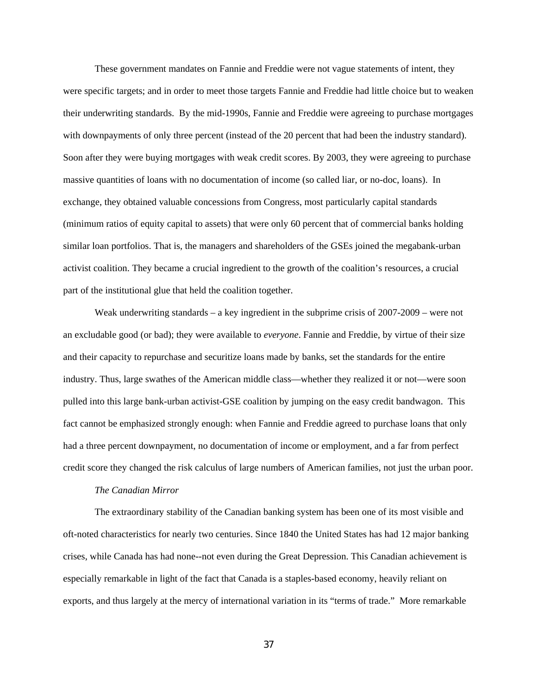These government mandates on Fannie and Freddie were not vague statements of intent, they were specific targets; and in order to meet those targets Fannie and Freddie had little choice but to weaken their underwriting standards. By the mid-1990s, Fannie and Freddie were agreeing to purchase mortgages with downpayments of only three percent (instead of the 20 percent that had been the industry standard). Soon after they were buying mortgages with weak credit scores. By 2003, they were agreeing to purchase massive quantities of loans with no documentation of income (so called liar, or no-doc, loans). In exchange, they obtained valuable concessions from Congress, most particularly capital standards (minimum ratios of equity capital to assets) that were only 60 percent that of commercial banks holding similar loan portfolios. That is, the managers and shareholders of the GSEs joined the megabank-urban activist coalition. They became a crucial ingredient to the growth of the coalition's resources, a crucial part of the institutional glue that held the coalition together.

Weak underwriting standards – a key ingredient in the subprime crisis of 2007-2009 – were not an excludable good (or bad); they were available to *everyone*. Fannie and Freddie, by virtue of their size and their capacity to repurchase and securitize loans made by banks, set the standards for the entire industry. Thus, large swathes of the American middle class—whether they realized it or not—were soon pulled into this large bank-urban activist-GSE coalition by jumping on the easy credit bandwagon. This fact cannot be emphasized strongly enough: when Fannie and Freddie agreed to purchase loans that only had a three percent downpayment, no documentation of income or employment, and a far from perfect credit score they changed the risk calculus of large numbers of American families, not just the urban poor.

#### *The Canadian Mirror*

The extraordinary stability of the Canadian banking system has been one of its most visible and oft-noted characteristics for nearly two centuries. Since 1840 the United States has had 12 major banking crises, while Canada has had none--not even during the Great Depression. This Canadian achievement is especially remarkable in light of the fact that Canada is a staples-based economy, heavily reliant on exports, and thus largely at the mercy of international variation in its "terms of trade." More remarkable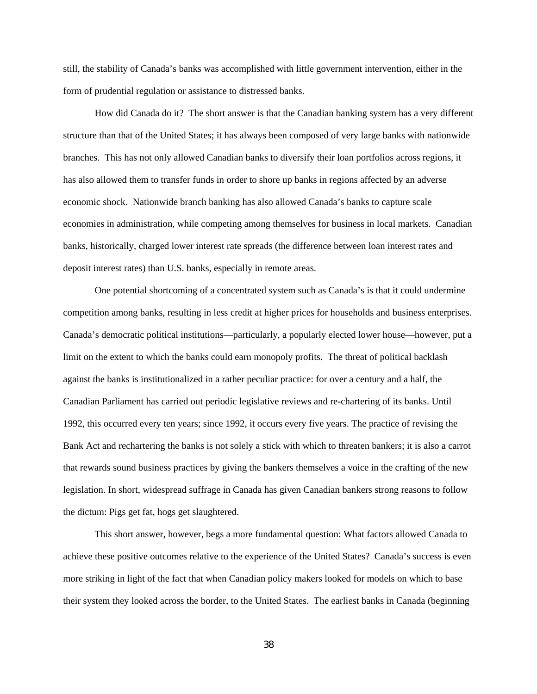still, the stability of Canada's banks was accomplished with little government intervention, either in the form of prudential regulation or assistance to distressed banks.

How did Canada do it? The short answer is that the Canadian banking system has a very different structure than that of the United States; it has always been composed of very large banks with nationwide branches. This has not only allowed Canadian banks to diversify their loan portfolios across regions, it has also allowed them to transfer funds in order to shore up banks in regions affected by an adverse economic shock. Nationwide branch banking has also allowed Canada's banks to capture scale economies in administration, while competing among themselves for business in local markets. Canadian banks, historically, charged lower interest rate spreads (the difference between loan interest rates and deposit interest rates) than U.S. banks, especially in remote areas.

One potential shortcoming of a concentrated system such as Canada's is that it could undermine competition among banks, resulting in less credit at higher prices for households and business enterprises. Canada's democratic political institutions—particularly, a popularly elected lower house—however, put a limit on the extent to which the banks could earn monopoly profits. The threat of political backlash against the banks is institutionalized in a rather peculiar practice: for over a century and a half, the Canadian Parliament has carried out periodic legislative reviews and re-chartering of its banks. Until 1992, this occurred every ten years; since 1992, it occurs every five years. The practice of revising the Bank Act and rechartering the banks is not solely a stick with which to threaten bankers; it is also a carrot that rewards sound business practices by giving the bankers themselves a voice in the crafting of the new legislation. In short, widespread suffrage in Canada has given Canadian bankers strong reasons to follow the dictum: Pigs get fat, hogs get slaughtered.

This short answer, however, begs a more fundamental question: What factors allowed Canada to achieve these positive outcomes relative to the experience of the United States? Canada's success is even more striking in light of the fact that when Canadian policy makers looked for models on which to base their system they looked across the border, to the United States. The earliest banks in Canada (beginning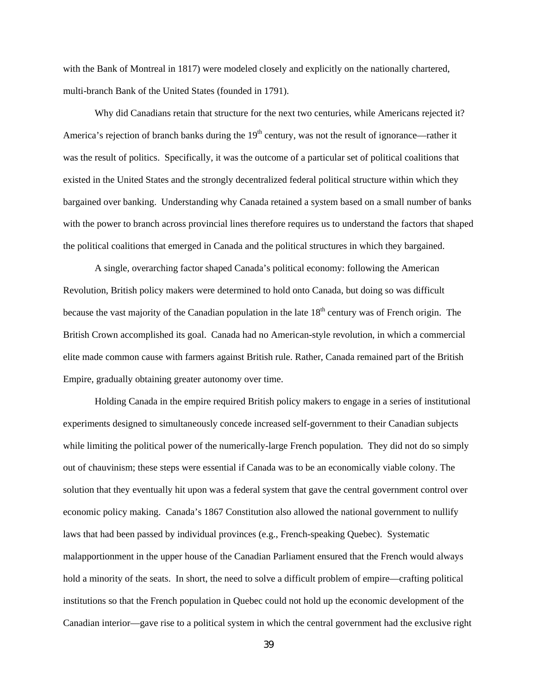with the Bank of Montreal in 1817) were modeled closely and explicitly on the nationally chartered, multi-branch Bank of the United States (founded in 1791).

Why did Canadians retain that structure for the next two centuries, while Americans rejected it? America's rejection of branch banks during the  $19<sup>th</sup>$  century, was not the result of ignorance—rather it was the result of politics. Specifically, it was the outcome of a particular set of political coalitions that existed in the United States and the strongly decentralized federal political structure within which they bargained over banking. Understanding why Canada retained a system based on a small number of banks with the power to branch across provincial lines therefore requires us to understand the factors that shaped the political coalitions that emerged in Canada and the political structures in which they bargained.

A single, overarching factor shaped Canada's political economy: following the American Revolution, British policy makers were determined to hold onto Canada, but doing so was difficult because the vast majority of the Canadian population in the late 18<sup>th</sup> century was of French origin. The British Crown accomplished its goal. Canada had no American-style revolution, in which a commercial elite made common cause with farmers against British rule. Rather, Canada remained part of the British Empire, gradually obtaining greater autonomy over time.

Holding Canada in the empire required British policy makers to engage in a series of institutional experiments designed to simultaneously concede increased self-government to their Canadian subjects while limiting the political power of the numerically-large French population. They did not do so simply out of chauvinism; these steps were essential if Canada was to be an economically viable colony. The solution that they eventually hit upon was a federal system that gave the central government control over economic policy making. Canada's 1867 Constitution also allowed the national government to nullify laws that had been passed by individual provinces (e.g., French-speaking Quebec). Systematic malapportionment in the upper house of the Canadian Parliament ensured that the French would always hold a minority of the seats. In short, the need to solve a difficult problem of empire—crafting political institutions so that the French population in Quebec could not hold up the economic development of the Canadian interior—gave rise to a political system in which the central government had the exclusive right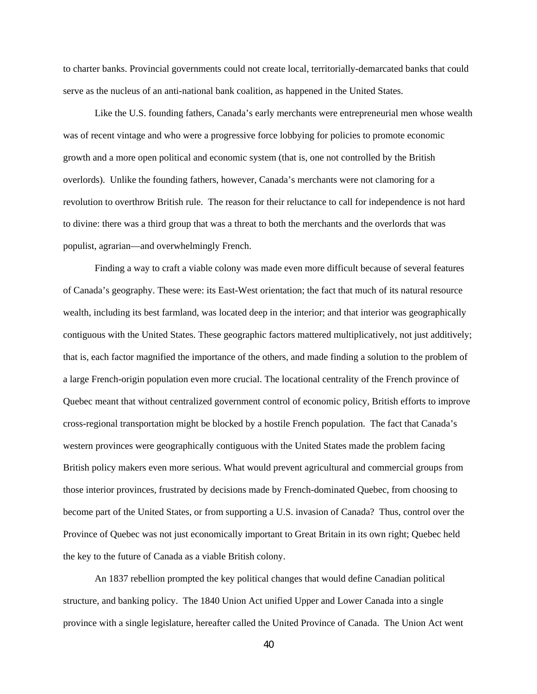to charter banks. Provincial governments could not create local, territorially-demarcated banks that could serve as the nucleus of an anti-national bank coalition, as happened in the United States.

Like the U.S. founding fathers, Canada's early merchants were entrepreneurial men whose wealth was of recent vintage and who were a progressive force lobbying for policies to promote economic growth and a more open political and economic system (that is, one not controlled by the British overlords). Unlike the founding fathers, however, Canada's merchants were not clamoring for a revolution to overthrow British rule. The reason for their reluctance to call for independence is not hard to divine: there was a third group that was a threat to both the merchants and the overlords that was populist, agrarian—and overwhelmingly French.

Finding a way to craft a viable colony was made even more difficult because of several features of Canada's geography. These were: its East-West orientation; the fact that much of its natural resource wealth, including its best farmland, was located deep in the interior; and that interior was geographically contiguous with the United States. These geographic factors mattered multiplicatively, not just additively; that is, each factor magnified the importance of the others, and made finding a solution to the problem of a large French-origin population even more crucial. The locational centrality of the French province of Quebec meant that without centralized government control of economic policy, British efforts to improve cross-regional transportation might be blocked by a hostile French population. The fact that Canada's western provinces were geographically contiguous with the United States made the problem facing British policy makers even more serious. What would prevent agricultural and commercial groups from those interior provinces, frustrated by decisions made by French-dominated Quebec, from choosing to become part of the United States, or from supporting a U.S. invasion of Canada? Thus, control over the Province of Quebec was not just economically important to Great Britain in its own right; Quebec held the key to the future of Canada as a viable British colony.

An 1837 rebellion prompted the key political changes that would define Canadian political structure, and banking policy. The 1840 Union Act unified Upper and Lower Canada into a single province with a single legislature, hereafter called the United Province of Canada. The Union Act went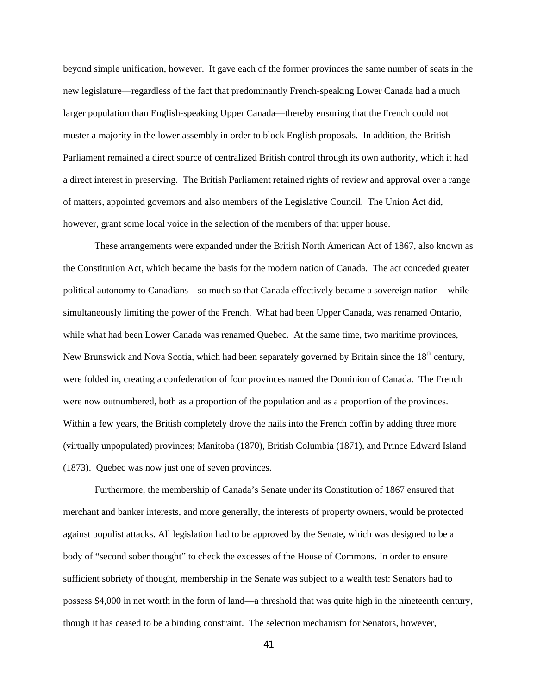beyond simple unification, however. It gave each of the former provinces the same number of seats in the new legislature—regardless of the fact that predominantly French-speaking Lower Canada had a much larger population than English-speaking Upper Canada—thereby ensuring that the French could not muster a majority in the lower assembly in order to block English proposals. In addition, the British Parliament remained a direct source of centralized British control through its own authority, which it had a direct interest in preserving. The British Parliament retained rights of review and approval over a range of matters, appointed governors and also members of the Legislative Council. The Union Act did, however, grant some local voice in the selection of the members of that upper house.

These arrangements were expanded under the British North American Act of 1867, also known as the Constitution Act, which became the basis for the modern nation of Canada. The act conceded greater political autonomy to Canadians—so much so that Canada effectively became a sovereign nation—while simultaneously limiting the power of the French. What had been Upper Canada, was renamed Ontario, while what had been Lower Canada was renamed Ouebec. At the same time, two maritime provinces, New Brunswick and Nova Scotia, which had been separately governed by Britain since the 18<sup>th</sup> century, were folded in, creating a confederation of four provinces named the Dominion of Canada. The French were now outnumbered, both as a proportion of the population and as a proportion of the provinces. Within a few years, the British completely drove the nails into the French coffin by adding three more (virtually unpopulated) provinces; Manitoba (1870), British Columbia (1871), and Prince Edward Island (1873). Quebec was now just one of seven provinces.

Furthermore, the membership of Canada's Senate under its Constitution of 1867 ensured that merchant and banker interests, and more generally, the interests of property owners, would be protected against populist attacks. All legislation had to be approved by the Senate, which was designed to be a body of "second sober thought" to check the excesses of the House of Commons. In order to ensure sufficient sobriety of thought, membership in the Senate was subject to a wealth test: Senators had to possess \$4,000 in net worth in the form of land—a threshold that was quite high in the nineteenth century, though it has ceased to be a binding constraint. The selection mechanism for Senators, however,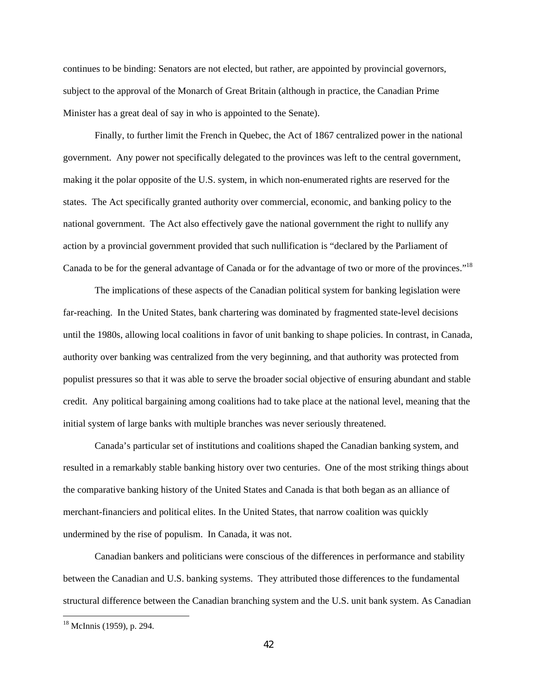continues to be binding: Senators are not elected, but rather, are appointed by provincial governors, subject to the approval of the Monarch of Great Britain (although in practice, the Canadian Prime Minister has a great deal of say in who is appointed to the Senate).

Finally, to further limit the French in Quebec, the Act of 1867 centralized power in the national government. Any power not specifically delegated to the provinces was left to the central government, making it the polar opposite of the U.S. system, in which non-enumerated rights are reserved for the states. The Act specifically granted authority over commercial, economic, and banking policy to the national government. The Act also effectively gave the national government the right to nullify any action by a provincial government provided that such nullification is "declared by the Parliament of Canada to be for the general advantage of Canada or for the advantage of two or more of the provinces."18

The implications of these aspects of the Canadian political system for banking legislation were far-reaching. In the United States, bank chartering was dominated by fragmented state-level decisions until the 1980s, allowing local coalitions in favor of unit banking to shape policies. In contrast, in Canada, authority over banking was centralized from the very beginning, and that authority was protected from populist pressures so that it was able to serve the broader social objective of ensuring abundant and stable credit. Any political bargaining among coalitions had to take place at the national level, meaning that the initial system of large banks with multiple branches was never seriously threatened.

Canada's particular set of institutions and coalitions shaped the Canadian banking system, and resulted in a remarkably stable banking history over two centuries. One of the most striking things about the comparative banking history of the United States and Canada is that both began as an alliance of merchant-financiers and political elites. In the United States, that narrow coalition was quickly undermined by the rise of populism. In Canada, it was not.

Canadian bankers and politicians were conscious of the differences in performance and stability between the Canadian and U.S. banking systems. They attributed those differences to the fundamental structural difference between the Canadian branching system and the U.S. unit bank system. As Canadian

 $\overline{\phantom{a}}$ 

<sup>18</sup> McInnis (1959), p. 294.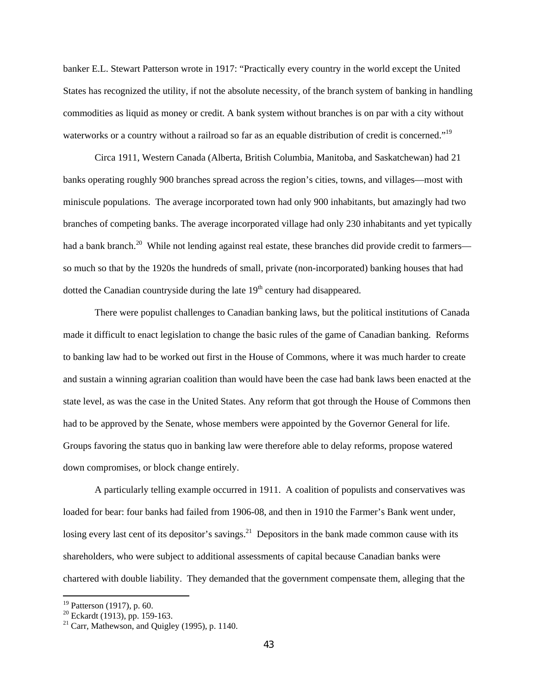banker E.L. Stewart Patterson wrote in 1917: "Practically every country in the world except the United States has recognized the utility, if not the absolute necessity, of the branch system of banking in handling commodities as liquid as money or credit. A bank system without branches is on par with a city without waterworks or a country without a railroad so far as an equable distribution of credit is concerned."<sup>19</sup>

Circa 1911, Western Canada (Alberta, British Columbia, Manitoba, and Saskatchewan) had 21 banks operating roughly 900 branches spread across the region's cities, towns, and villages—most with miniscule populations. The average incorporated town had only 900 inhabitants, but amazingly had two branches of competing banks. The average incorporated village had only 230 inhabitants and yet typically had a bank branch.<sup>20</sup> While not lending against real estate, these branches did provide credit to farmers so much so that by the 1920s the hundreds of small, private (non-incorporated) banking houses that had dotted the Canadian countryside during the late  $19<sup>th</sup>$  century had disappeared.

There were populist challenges to Canadian banking laws, but the political institutions of Canada made it difficult to enact legislation to change the basic rules of the game of Canadian banking. Reforms to banking law had to be worked out first in the House of Commons, where it was much harder to create and sustain a winning agrarian coalition than would have been the case had bank laws been enacted at the state level, as was the case in the United States. Any reform that got through the House of Commons then had to be approved by the Senate, whose members were appointed by the Governor General for life. Groups favoring the status quo in banking law were therefore able to delay reforms, propose watered down compromises, or block change entirely.

A particularly telling example occurred in 1911. A coalition of populists and conservatives was loaded for bear: four banks had failed from 1906-08, and then in 1910 the Farmer's Bank went under, losing every last cent of its depositor's savings.<sup>21</sup> Depositors in the bank made common cause with its shareholders, who were subject to additional assessments of capital because Canadian banks were chartered with double liability. They demanded that the government compensate them, alleging that the

**.** 

<sup>&</sup>lt;sup>19</sup> Patterson (1917), p. 60.

 $20$  Eckardt (1913), pp. 159-163.

 $21$  Carr, Mathewson, and Quigley (1995), p. 1140.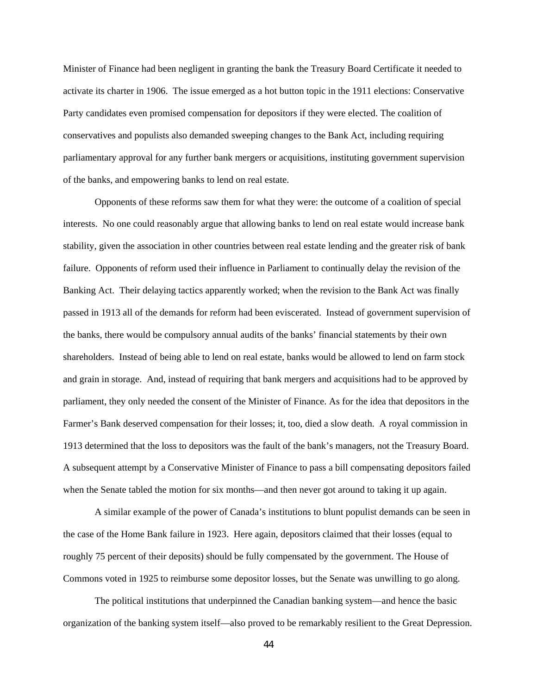Minister of Finance had been negligent in granting the bank the Treasury Board Certificate it needed to activate its charter in 1906. The issue emerged as a hot button topic in the 1911 elections: Conservative Party candidates even promised compensation for depositors if they were elected. The coalition of conservatives and populists also demanded sweeping changes to the Bank Act, including requiring parliamentary approval for any further bank mergers or acquisitions, instituting government supervision of the banks, and empowering banks to lend on real estate.

Opponents of these reforms saw them for what they were: the outcome of a coalition of special interests. No one could reasonably argue that allowing banks to lend on real estate would increase bank stability, given the association in other countries between real estate lending and the greater risk of bank failure. Opponents of reform used their influence in Parliament to continually delay the revision of the Banking Act. Their delaying tactics apparently worked; when the revision to the Bank Act was finally passed in 1913 all of the demands for reform had been eviscerated. Instead of government supervision of the banks, there would be compulsory annual audits of the banks' financial statements by their own shareholders. Instead of being able to lend on real estate, banks would be allowed to lend on farm stock and grain in storage. And, instead of requiring that bank mergers and acquisitions had to be approved by parliament, they only needed the consent of the Minister of Finance. As for the idea that depositors in the Farmer's Bank deserved compensation for their losses; it, too, died a slow death. A royal commission in 1913 determined that the loss to depositors was the fault of the bank's managers, not the Treasury Board. A subsequent attempt by a Conservative Minister of Finance to pass a bill compensating depositors failed when the Senate tabled the motion for six months—and then never got around to taking it up again.

A similar example of the power of Canada's institutions to blunt populist demands can be seen in the case of the Home Bank failure in 1923. Here again, depositors claimed that their losses (equal to roughly 75 percent of their deposits) should be fully compensated by the government. The House of Commons voted in 1925 to reimburse some depositor losses, but the Senate was unwilling to go along.

The political institutions that underpinned the Canadian banking system—and hence the basic organization of the banking system itself—also proved to be remarkably resilient to the Great Depression.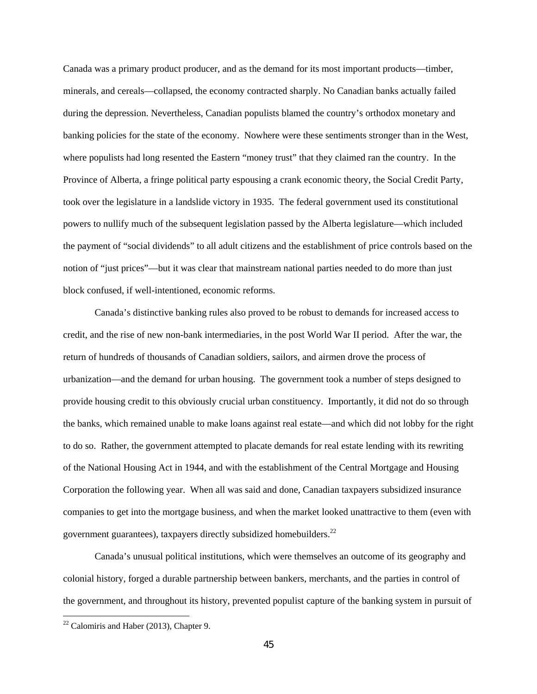Canada was a primary product producer, and as the demand for its most important products—timber, minerals, and cereals—collapsed, the economy contracted sharply. No Canadian banks actually failed during the depression. Nevertheless, Canadian populists blamed the country's orthodox monetary and banking policies for the state of the economy. Nowhere were these sentiments stronger than in the West, where populists had long resented the Eastern "money trust" that they claimed ran the country. In the Province of Alberta, a fringe political party espousing a crank economic theory, the Social Credit Party, took over the legislature in a landslide victory in 1935. The federal government used its constitutional powers to nullify much of the subsequent legislation passed by the Alberta legislature—which included the payment of "social dividends" to all adult citizens and the establishment of price controls based on the notion of "just prices"—but it was clear that mainstream national parties needed to do more than just block confused, if well-intentioned, economic reforms.

Canada's distinctive banking rules also proved to be robust to demands for increased access to credit, and the rise of new non-bank intermediaries, in the post World War II period. After the war, the return of hundreds of thousands of Canadian soldiers, sailors, and airmen drove the process of urbanization—and the demand for urban housing. The government took a number of steps designed to provide housing credit to this obviously crucial urban constituency. Importantly, it did not do so through the banks, which remained unable to make loans against real estate—and which did not lobby for the right to do so. Rather, the government attempted to placate demands for real estate lending with its rewriting of the National Housing Act in 1944, and with the establishment of the Central Mortgage and Housing Corporation the following year. When all was said and done, Canadian taxpayers subsidized insurance companies to get into the mortgage business, and when the market looked unattractive to them (even with government guarantees), taxpayers directly subsidized homebuilders.<sup>22</sup>

Canada's unusual political institutions, which were themselves an outcome of its geography and colonial history, forged a durable partnership between bankers, merchants, and the parties in control of the government, and throughout its history, prevented populist capture of the banking system in pursuit of

**.** 

 $22$  Calomiris and Haber (2013), Chapter 9.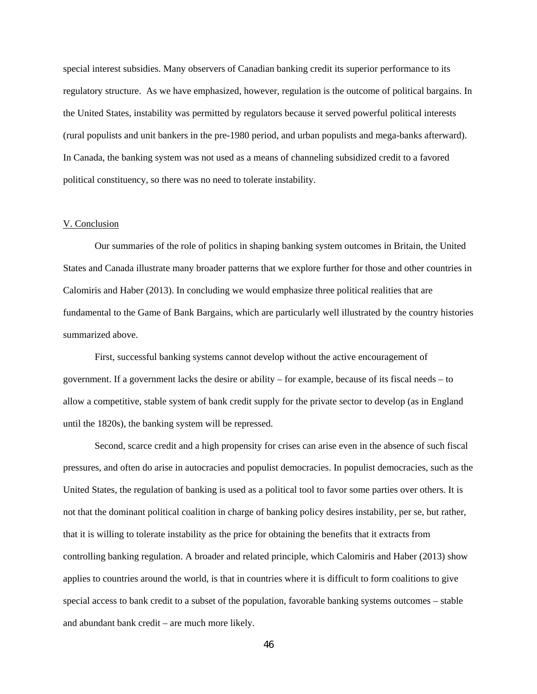special interest subsidies. Many observers of Canadian banking credit its superior performance to its regulatory structure. As we have emphasized, however, regulation is the outcome of political bargains. In the United States, instability was permitted by regulators because it served powerful political interests (rural populists and unit bankers in the pre-1980 period, and urban populists and mega-banks afterward). In Canada, the banking system was not used as a means of channeling subsidized credit to a favored political constituency, so there was no need to tolerate instability.

#### V. Conclusion

Our summaries of the role of politics in shaping banking system outcomes in Britain, the United States and Canada illustrate many broader patterns that we explore further for those and other countries in Calomiris and Haber (2013). In concluding we would emphasize three political realities that are fundamental to the Game of Bank Bargains, which are particularly well illustrated by the country histories summarized above.

First, successful banking systems cannot develop without the active encouragement of government. If a government lacks the desire or ability – for example, because of its fiscal needs – to allow a competitive, stable system of bank credit supply for the private sector to develop (as in England until the 1820s), the banking system will be repressed.

Second, scarce credit and a high propensity for crises can arise even in the absence of such fiscal pressures, and often do arise in autocracies and populist democracies. In populist democracies, such as the United States, the regulation of banking is used as a political tool to favor some parties over others. It is not that the dominant political coalition in charge of banking policy desires instability, per se, but rather, that it is willing to tolerate instability as the price for obtaining the benefits that it extracts from controlling banking regulation. A broader and related principle, which Calomiris and Haber (2013) show applies to countries around the world, is that in countries where it is difficult to form coalitions to give special access to bank credit to a subset of the population, favorable banking systems outcomes – stable and abundant bank credit – are much more likely.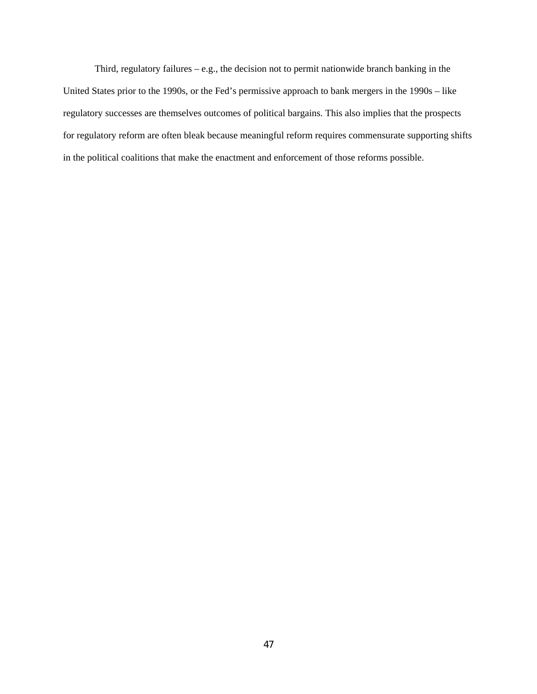Third, regulatory failures – e.g., the decision not to permit nationwide branch banking in the United States prior to the 1990s, or the Fed's permissive approach to bank mergers in the 1990s – like regulatory successes are themselves outcomes of political bargains. This also implies that the prospects for regulatory reform are often bleak because meaningful reform requires commensurate supporting shifts in the political coalitions that make the enactment and enforcement of those reforms possible.